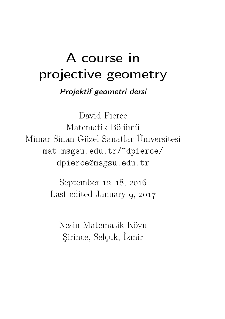# A course in projective geometry

Projektif geometri dersi

David Pierce Matematik Bölümü Mimar Sinan Güzel Sanatlar Üniversitesi mat.msgsu.edu.tr/~dpierce/ dpierce@msgsu.edu.tr

> September  $12-18$ ,  $2016$ Last edited January 9, 2017

Nesin Matematik Köyu Şirince, Selçuk, İzmir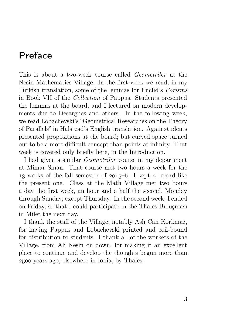# Preface

This is about a two-week course called Geometriler at the Nesin Mathematics Village. In the first week we read, in my Turkish translation, some of the lemmas for Euclid's Porisms in Book VII of the Collection of Pappus. Students presented the lemmas at the board, and I lectured on modern developments due to Desargues and others. In the following week, we read Lobachevski's "Geometrical Researches on the Theory of Parallels" in Halstead's English translation. Again students presented propositions at the board; but curved space turned out to be a more difficult concept than points at infinity. That week is covered only briefly here, in the Introduction.

I had given a similar Geometriler course in my department at Mimar Sinan. That course met two hours a week for the 13 weeks of the fall semester of  $2015-6$ . I kept a record like the present one. Class at the Math Village met two hours a day the first week, an hour and a half the second, Monday through Sunday, except Thursday. In the second week, I ended on Friday, so that I could participate in the Thales Buluşması in Milet the next day.

I thank the staff of the Village, notably Aslı Can Korkmaz, for having Pappus and Lobachevski printed and coil-bound for distribution to students. I thank all of the workers of the Village, from Ali Nesin on down, for making it an excellent place to continue and develop the thoughts begun more than years ago, elsewhere in Ionia, by Thales.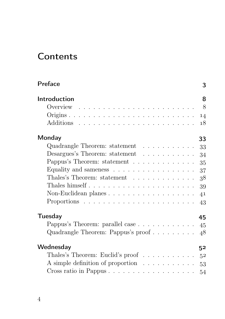# **Contents**

| Preface                                                              | 3  |
|----------------------------------------------------------------------|----|
| Introduction                                                         | 8  |
| Overview $\ldots \ldots \ldots \ldots \ldots \ldots \ldots \ldots$   | 8  |
|                                                                      | 14 |
|                                                                      | 18 |
| Monday                                                               | 33 |
| Quadrangle Theorem: statement $\ldots \ldots \ldots$                 | 33 |
| Desargues's Theorem: statement $\ldots \ldots \ldots$                | 34 |
| Pappus's Theorem: statement                                          | 35 |
| Equality and sameness                                                | 37 |
| Thales's Theorem: statement                                          | 38 |
|                                                                      | 39 |
|                                                                      | 41 |
|                                                                      | 43 |
| Tuesday                                                              | 45 |
| Pappus's Theorem: parallel case $\ldots \ldots \ldots \ldots \ldots$ |    |
| Quadrangle Theorem: Pappus's proof                                   | 48 |
| Wednesday                                                            | 52 |
| Thales's Theorem: Euclid's proof $\ldots \ldots \ldots \ldots 52$    |    |
| A simple definition of proportion $\dots \dots \dots \dots$ 53       |    |
| Cross ratio in Pappus $\ldots \ldots \ldots \ldots \ldots \ldots$    | 54 |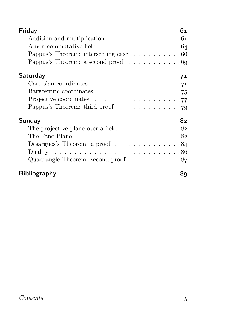| Friday                                                                 | 61 |
|------------------------------------------------------------------------|----|
| Addition and multiplication                                            | 61 |
| A non-commutative field $\ldots \ldots \ldots \ldots \ldots \ldots 64$ |    |
| Pappus's Theorem: intersecting case 66                                 |    |
| Pappus's Theorem: a second proof 69                                    |    |
| Saturday                                                               | 71 |
|                                                                        |    |
| Barycentric coordinates 75                                             |    |
| Projective coordinates $\ldots \ldots \ldots \ldots \ldots \ldots$ 77  |    |
| Pappus's Theorem: third proof $\ldots \ldots \ldots \ldots \ldots$ 79  |    |
| Sunday                                                                 | 82 |
|                                                                        | 82 |
| The Fano Plane $\dots \dots \dots \dots \dots \dots \dots \dots$       | 82 |
| Desargues's Theorem: a proof $\dots \dots \dots \dots \dots$ 84        |    |
|                                                                        |    |
| Quadrangle Theorem: second proof $\ldots \ldots \ldots \ldots$ 87      |    |
| <b>Bibliography</b>                                                    | 8q |

### Contents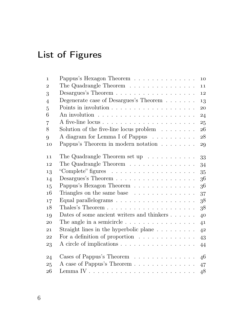# List of Figures

| $\mathbf{1}$   | Pappus's Hexagon Theorem<br>10                                                         |
|----------------|----------------------------------------------------------------------------------------|
| $\overline{2}$ | The Quadrangle Theorem $\ldots \ldots \ldots \ldots \ldots$<br>11                      |
| 3              | 12                                                                                     |
| $\overline{4}$ | Degenerate case of Desargues's Theorem<br>13                                           |
| $\overline{5}$ | 20                                                                                     |
| 6              | 24                                                                                     |
| $\overline{7}$ | 25                                                                                     |
| 8              | Solution of the five-line locus problem $\ldots \ldots$<br>26                          |
| 9              | A diagram for Lemma I of Pappus<br>28                                                  |
| 10             | Pappus's Theorem in modern notation<br>29                                              |
| 11             | The Quadrangle Theorem set up $\ldots \ldots \ldots$<br>33                             |
| 12             | The Quadrangle Theorem<br>34                                                           |
| 13             | "Complete" figures $\ldots \ldots \ldots \ldots \ldots \ldots$<br>35                   |
| 14             | 36                                                                                     |
| 15             | Pappus's Hexagon Theorem<br>36                                                         |
| 16             | Triangles on the same base $\ldots \ldots \ldots \ldots$<br>37                         |
| 17             | 38                                                                                     |
| 18             | 38                                                                                     |
| 10             | Dates of some ancient writers and thinkers<br>40                                       |
| 20             | The angle in a semicircle $\ldots \ldots \ldots \ldots \ldots$<br>41                   |
| 21             | Straight lines in the hyperbolic plane $\ldots \ldots \ldots$<br>42                    |
| 22             | For a definition of proportion $\ldots \ldots \ldots \ldots$<br>43                     |
| 23             | A circle of implications<br>44                                                         |
| 24             | Cases of Pappus's Theorem<br>46                                                        |
| 25             | A case of Pappus's Theorem<br>47                                                       |
| 26             | Lemma IV $\ldots \ldots \ldots \ldots \ldots \ldots \ldots \ldots \ldots \ldots$<br>48 |
|                |                                                                                        |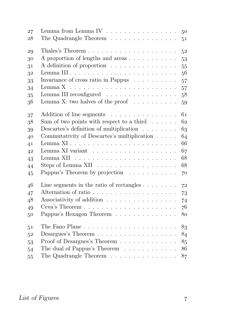| 27             | Lemma from Lemma IV $\ldots \ldots \ldots \ldots \ldots$<br>50     |  |
|----------------|--------------------------------------------------------------------|--|
| 28             | The Quadrangle Theorem $\ldots \ldots \ldots \ldots \ldots$<br>51  |  |
| 29             | 5 <sup>2</sup>                                                     |  |
| 30             | A proportion of lengths and areas<br>53                            |  |
| 31             | A definition of proportion<br>55                                   |  |
| 32             | 56                                                                 |  |
| 33             | Invariance of cross ratio in Pappus $\ldots \ldots \ldots$<br>57   |  |
| 34             | Lemma $X_1, \ldots, X_n, \ldots, X_n, \ldots, X_n$<br>57           |  |
| 35             | Lemma III reconfigured<br>58                                       |  |
| 36             | Lemma X: two halves of the proof $\ldots \ldots \ldots$<br>59      |  |
| 37             | Addition of line segments<br>61                                    |  |
| 38             | Sum of two points with respect to a third $\ldots \ldots$<br>62    |  |
| 39             | Descartes's definition of multiplication $\ldots \ldots$<br>63     |  |
| 40             | Commutativity of Descartes's multiplication<br>64                  |  |
| 41             | 66                                                                 |  |
| 42             | Lemma XI variant $\ldots \ldots \ldots \ldots \ldots \ldots$<br>67 |  |
| 43             | 68                                                                 |  |
| 44             | 68                                                                 |  |
| 45             | Pappus's Theorem by projection<br>70                               |  |
| 46             | Line segments in the ratio of rectangles $\dots \dots$<br>72       |  |
| 47             | 73                                                                 |  |
| 48             | Associativity of addition<br>74                                    |  |
| 49             | 76                                                                 |  |
| 50             | Pappus's Hexagon Theorem<br>80                                     |  |
| 51             | 83                                                                 |  |
| 5 <sup>2</sup> | 84                                                                 |  |
| 53             | 85                                                                 |  |
| 54             | The dual of Pappus's Theorem<br>86                                 |  |
| 55             | The Quadrangle Theorem $\ldots \ldots \ldots \ldots \ldots$<br>87  |  |
|                |                                                                    |  |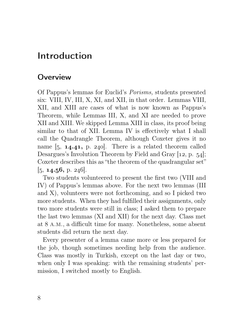# Introduction

### **Overview**

Of Pappus's lemmas for Euclid's Porisms, students presented six: VIII, IV, III, X, XI, and XII, in that order. Lemmas VIII, XII, and XIII are cases of what is now known as Pappus's Theorem, while Lemmas III, X, and XI are needed to prove XII and XIII. We skipped Lemma XIII in class, its proof being similar to that of XII. Lemma IV is effectively what I shall call the Quadrangle Theorem, although Coxeter gives it no name  $[5, 14.41, p. 240]$ . There is a related theorem called Desargues's Involution Theorem by Field and Gray  $[12, p. 54]$ ; Coxeter describes this as "the theorem of the quadrangular set" [5,  $14.56$ , p. 246].

Two students volunteered to present the first two (VIII and IV) of Pappus's lemmas above. For the next two lemmas (III and X), volunteers were not forthcoming, and so I picked two more students. When they had fulfilled their assignments, only two more students were still in class; I asked them to prepare the last two lemmas (XI and XII) for the next day. Class met at 8 A.M., a difficult time for many. Nonetheless, some absent students did return the next day.

Every presenter of a lemma came more or less prepared for the job, though sometimes needing help from the audience. Class was mostly in Turkish, except on the last day or two, when only I was speaking: with the remaining students' permission, I switched mostly to English.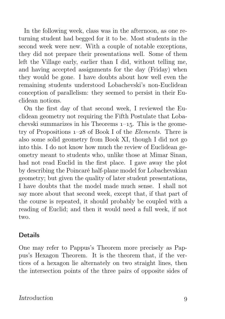In the following week, class was in the afternoon, as one returning student had begged for it to be. Most students in the second week were new. With a couple of notable exceptions, they did not prepare their presentations well. Some of them left the Village early, earlier than I did, without telling me, and having accepted assignments for the day (Friday) when they would be gone. I have doubts about how well even the remaining students understood Lobachevski's non-Euclidean conception of parallelism: they seemed to persist in their Euclidean notions.

On the first day of that second week, I reviewed the Euclidean geometry not requiring the Fifth Postulate that Lobachevski summarizes in his Theorems  $1-15$ . This is the geometry of Propositions  $1-28$  of Book I of the *Elements*. There is also some solid geometry from Book XI, though I did not go into this. I do not know how much the review of Euclidean geometry meant to students who, unlike those at Mimar Sinan, had not read Euclid in the first place. I gave away the plot by describing the Poincaré half-plane model for Lobachevskian geometry; but given the quality of later student presentations, I have doubts that the model made much sense. I shall not say more about that second week, except that, if that part of the course is repeated, it should probably be coupled with a reading of Euclid; and then it would need a full week, if not two.

#### **Details**

One may refer to Pappus's Theorem more precisely as Pappus's Hexagon Theorem. It is the theorem that, if the vertices of a hexagon lie alternately on two straight lines, then the intersection points of the three pairs of opposite sides of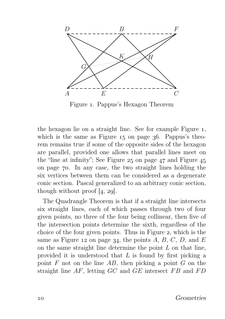

Figure . Pappus's Hexagon Theorem

the hexagon lie on a straight line. See for example Figure 1, which is the same as Figure  $15$  on page  $36$ . Pappus's theorem remains true if some of the opposite sides of the hexagon are parallel, provided one allows that parallel lines meet on the "line at infinity"; See Figure  $25$  on page  $47$  and Figure  $45$ on page 70. In any case, the two straight lines holding the six vertices between them can be considered as a degenerate conic section. Pascal generalized to an arbitrary conic section, though without proof  $[4, 29]$ .

The Quadrangle Theorem is that if a straight line intersects six straight lines, each of which passes through two of four given points, no three of the four being collinear, then five of the intersection points determine the sixth, regardless of the choice of the four given points. Thus in Figure 2, which is the same as Figure 12 on page 34, the points A, B, C, D, and E on the same straight line determine the point  $L$  on that line, provided it is understood that L is found by first picking a point  $F$  not on the line  $AB$ , then picking a point  $G$  on the straight line  $AF$ , letting  $GC$  and  $GE$  intersect  $FB$  and  $FD$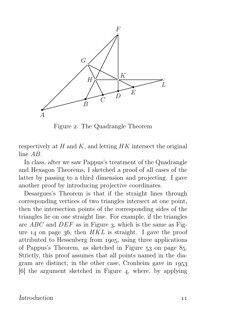

Figure 2. The Quadrangle Theorem

respectively at  $H$  and  $K$ , and letting  $HK$  intersect the original line AB.

In class, after we saw Pappus's treatment of the Quadrangle and Hexagon Theorems, I sketched a proof of all cases of the latter by passing to a third dimension and projecting. I gave another proof by introducing projective coordinates.

Desargues's Theorem is that if the straight lines through corresponding vertices of two triangles intersect at one point, then the intersection points of the corresponding sides of the triangles lie on one straight line. For example, if the triangles are  $ABC$  and  $DEF$  as in Figure 3, which is the same as Figure 14 on page 36, then  $HKL$  is straight. I gave the proof attributed to Hessenberg from 1905, using three applications of Pappus's Theorem, as sketched in Figure  $53$  on page  $85$ . Strictly, this proof assumes that all points named in the diagram are distinct; in the other case, Cronheim gave in [6] the argument sketched in Figure 4, where, by applying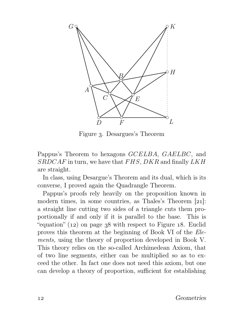

Figure . Desargues's Theorem

Pappus's Theorem to hexagons GCELBA, GAELBC, and  $SRDCAF$  in turn, we have that  $FHS$ ,  $DKR$  and finally  $LKH$ are straight.

In class, using Desargue's Theorem and its dual, which is its converse, I proved again the Quadrangle Theorem.

Pappus's proofs rely heavily on the proposition known in modern times, in some countries, as Thales's Theorem  $[21]$ : a straight line cutting two sides of a triangle cuts them proportionally if and only if it is parallel to the base. This is "equation"  $(12)$  on page  $38$  with respect to Figure 18. Euclid proves this theorem at the beginning of Book VI of the Elements, using the theory of proportion developed in Book V. This theory relies on the so-called Archimedean Axiom, that of two line segments, either can be multiplied so as to exceed the other. In fact one does not need this axiom, but one can develop a theory of proportion, sufficient for establishing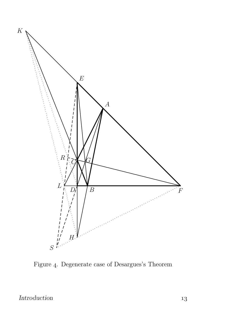

Figure 4. Degenerate case of Desargues's Theorem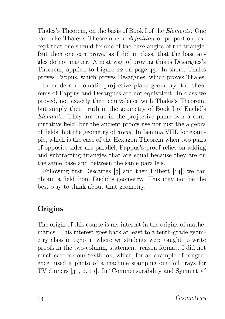Thales's Theorem, on the basis of Book I of the Elements. One can take Thales's Theorem as a definition of proportion, except that one should fix one of the base angles of the triangle. But then one can prove, as I did in class, that the base angles do not matter. A neat way of proving this is Desargues's Theorem, applied to Figure  $22$  on page  $43$ . In short, Thales proves Pappus, which proves Desargues, which proves Thales.

In modern axiomatic projective plane geometry, the theorems of Pappus and Desargues are not equivalent. In class we proved, not exactly their equivalence with Thales's Theorem, but simply their truth in the geometry of Book I of Euclid's Elements. They are true in the projective plane over a commutative field; but the ancient proofs use not just the algebra of fields, but the geometry of areas. In Lemma VIII, for example, which is the case of the Hexagon Theorem when two pairs of opposite sides are parallel, Pappus's proof relies on adding and subtracting triangles that are equal because they are on the same base and between the same parallels.

Following first Descartes  $[g]$  and then Hilbert  $[14]$ , we can obtain a field from Euclid's geometry. This may not be the best way to think about that geometry.

# **Origins**

The origin of this course is my interest in the origins of mathematics. This interest goes back at least to a tenth-grade geometry class in  $1980-1$ , where we students were taught to write proofs in the two-column, statement–reason format. I did not much care for our textbook, which, for an example of congruence, used a photo of a machine stamping out foil trays for TV dinners  $[31, p. 13]$ . In "Commensurability and Symmetry"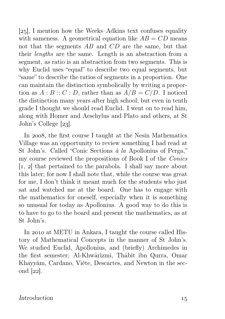$[25]$ , I mention how the Weeks–Adkins text confuses equality with sameness. A geometrical equation like  $AB = CD$  means not that the segments AB and CD are the same, but that their lengths are the same. Length is an abstraction from a segment, as ratio is an abstraction from two segments. This is why Euclid uses "equal" to describe two equal segments, but "same" to describe the ratios of segments in a proportion. One can maintain the distinction symbolically by writing a proportion as  $A : B :: C : D$ , rather than as  $A/B = C/D$ . I noticed the distinction many years after high school; but even in tenth grade I thought we should read Euclid. I went on to read him, along with Homer and Aeschylus and Plato and others, at St John's College [23].

In 2008, the first course I taught at the Nesin Mathematics Village was an opportunity to review something I had read at St John's. Called "Conic Sections à la Apollonius of Perga," my course reviewed the propositions of Book I of the Conics  $\left[1, 2\right]$  that pertained to the parabola. I shall say more about this later; for now I shall note that, while the course was great for me, I don't think it meant much for the students who just sat and watched me at the board. One has to engage with the mathematics for oneself, especially when it is something so unusual for today as Apollonius. A good way to do this is to have to go to the board and present the mathematics, as at St John's.

In 2010 at METU in Ankara, I taught the course called History of Mathematical Concepts in the manner of St John's. We studied Euclid, Apollonius, and (briefly) Archimedes in the first semester; Al-Khwārizmī, Thābit ibn Qurra, Omar Khayyám, Cardano, Viète, Descartes, and Newton in the second  $[22]$ .

Introduction 15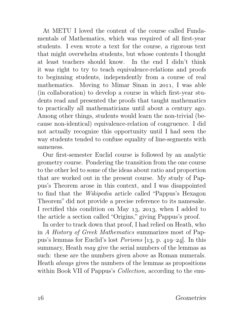At METU I loved the content of the course called Fundamentals of Mathematics, which was required of all first-year students. I even wrote a text for the course, a rigorous text that might overwhelm students, but whose contents I thought at least teachers should know. In the end I didn't think it was right to try to teach equivalence-relations and proofs to beginning students, independently from a course of real mathematics. Moving to Mimar Sinan in 2011, I was able (in collaboration) to develop a course in which first-year students read and presented the proofs that taught mathematics to practically all mathematicians until about a century ago. Among other things, students would learn the non-trivial (because non-identical) equivalence-relation of congruence. I did not actually recognize this opportunity until I had seen the way students tended to confuse equality of line-segments with sameness.

Our first-semester Euclid course is followed by an analytic geometry course. Pondering the transition from the one course to the other led to some of the ideas about ratio and proportion that are worked out in the present course. My study of Pappus's Theorem arose in this context, and I was disappointed to find that the Wikipedia article called "Pappus's Hexagon Theorem" did not provide a precise reference to its namesake. I rectified this condition on May  $13, 2013$ , when I added to the article a section called "Origins," giving Pappus's proof.

In order to track down that proof, I had relied on Heath, who in A History of Greek Mathematics summarizes most of Pappus's lemmas for Euclid's lost *Porisms*  $[13, p. 419–24]$ . In this summary, Heath may give the serial numbers of the lemmas as such: these are the numbers given above as Roman numerals. Heath always gives the numbers of the lemmas as propositions within Book VII of Pappus's *Collection*, according to the enu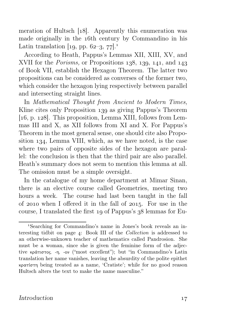meration of Hultsch  $[18]$ . Apparently this enumeration was made originally in the 16th century by Commandino in his Latin translation [19, pp. 62–3,  $77$ ].<sup>1</sup>

According to Heath, Pappus's Lemmas XII, XIII, XV, and XVII for the *Porisms*, or Propositions  $138, 139, 141,$  and  $143$ of Book VII, establish the Hexagon Theorem. The latter two propositions can be considered as converses of the former two, which consider the hexagon lying respectively between parallel and intersecting straight lines.

In Mathematical Thought from Ancient to Modern Times, Kline cites only Proposition 139 as giving Pappus's Theorem  $[16, p. 128]$ . This proposition, Lemma XIII, follows from Lemmas III and X, as XII follows from XI and X. For Pappus's Theorem in the most general sense, one should cite also Proposition  $134$ , Lemma VIII, which, as we have noted, is the case where two pairs of opposite sides of the hexagon are parallel: the conclusion is then that the third pair are also parallel. Heath's summary does not seem to mention this lemma at all. The omission must be a simple oversight.

In the catalogue of my home department at Mimar Sinan, there is an elective course called Geometries, meeting two hours a week. The course had last been taught in the fall of  $2010$  when I offered it in the fall of  $2015$ . For use in the course, I translated the first  $19$  of Pappus's  $38$  lemmas for Eu-

Searching for Commandino's name in Jones's book reveals an interesting tidbit on page 4: Book III of the *Collection* is addressed to an otherwise-unknown teacher of mathematics called Pandrosion. She must be a woman, since she is given the feminine form of the adjective κράτιστος, -η, -ον ("most excellent"); but "in Commandino's Latin translation her name vanishes, leaving the absurdity of the polite epithet κρατίστη being treated as a name, 'Cratiste'; while for no good reason Hultsch alters the text to make the name masculine."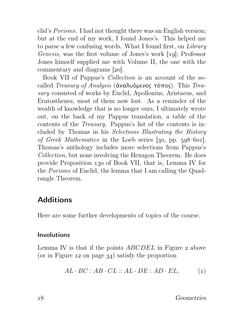clid's Porisms. I had not thought there was an English version; but at the end of my work, I found Jones's. This helped me to parse a few confusing words. What I found first, on Library Genesis, was the first volume of Jones's work  $[10]$ ; Professor Jones himself supplied me with Volume II, the one with the commentary and diagrams  $[20]$ .

Book VII of Pappus's Collection is an account of the socalled Treasury of Analysis (ἀναλυόμενος τόπος). This Treasury consisted of works by Euclid, Apollonius, Aristaeus, and Eratosthenes, most of them now lost. As a reminder of the wealth of knowledge that is no longer ours, I ultimately wrote out, on the back of my Pappus translation, a table of the contents of the Treasury. Pappus's list of the contents is included by Thomas in his Selections Illustrating the History of Greek Mathematics in the Loeb series  $[30, pp. 598-601].$ Thomas's anthology includes more selections from Pappus's Collection, but none involving the Hexagon Theorem. He does provide Proposition 130 of Book VII, that is, Lemma IV for the Porisms of Euclid, the lemma that I am calling the Quadrangle Theorem.

### **Additions**

Here are some further developments of topics of the course.

#### Involutions

Lemma IV is that if the points  $ABCDEL$  in Figure 2 above (or in Figure 12 on page  $34$ ) satisfy the proportion

$$
AL \cdot BC : AB \cdot CL :: AL \cdot DE : AD \cdot EL,
$$
 (1)

18 Geometries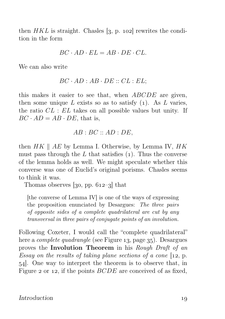then  $HKL$  is straight. Chasles [3, p. 102] rewrites the condition in the form

$$
BC \cdot AD \cdot EL = AB \cdot DE \cdot CL.
$$

We can also write

$$
BC \cdot AD : AB \cdot DE :: CL : EL;
$$

this makes it easier to see that, when ABCDE are given, then some unique  $L$  exists so as to satisfy  $(1)$ . As  $L$  varies, the ratio  $CL : EL$  takes on all possible values but unity. If  $BC \cdot AD = AB \cdot DE$ , that is,

 $AB: BC::AD: DE,$ 

then  $HK \parallel AE$  by Lemma I. Otherwise, by Lemma IV,  $HK$ must pass through the  $L$  that satisfies (1). Thus the converse of the lemma holds as well. We might speculate whether this converse was one of Euclid's original porisms. Chasles seems to think it was.

Thomas observes [30, pp. 612-3] that

[the converse of Lemma IV] is one of the ways of expressing the proposition enunciated by Desargues: The three pairs of opposite sides of a complete quadrilateral are cut by any transversal in three pairs of conjugate points of an involution.

Following Coxeter, I would call the "complete quadrilateral" here a *complete quadrangle* (see Figure 13, page 35). Desargues proves the Involution Theorem in his Rough Draft of an Essay on the results of taking plane sections of a cone  $[12, p]$ . ]. One way to interpret the theorem is to observe that, in Figure 2 or 12, if the points  $BCDE$  are conceived of as fixed,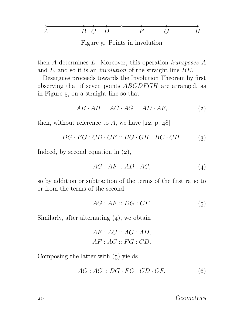$$
\stackrel{\circ}{A}\qquad \qquad \stackrel{\bullet}{B}\qquad \stackrel{\bullet}{C}\qquad \stackrel{\bullet}{D}\qquad \qquad \stackrel{\bullet}{F}\qquad \qquad \stackrel{\bullet}{G}\qquad \qquad H
$$

Figure 5. Points in involution

then A determines L. Moreover, this operation transposes A and L, and so it is an involution of the straight line BE.

Desargues proceeds towards the Involution Theorem by first observing that if seven points ABCDFGH are arranged, as in Figure 5, on a straight line so that

$$
AB \cdot AH = AC \cdot AG = AD \cdot AF,\tag{2}
$$

then, without reference to A, we have  $[12, p. 48]$ 

$$
DG \cdot FG : CD \cdot CF :: BG \cdot GH : BC \cdot CH. \tag{3}
$$

Indeed, by second equation in  $(2)$ ,

$$
AG: AF::AD:AC,
$$

$$
\tag{4}
$$

so by addition or subtraction of the terms of the first ratio to or from the terms of the second,

$$
AG: AF::DG:CF.
$$
 (5)

Similarly, after alternating  $(4)$ , we obtain

 $AF: AC :: AG : AD$ ,  $AF: AC:: FG: CD$ .

Composing the latter with  $(5)$  yields

$$
AG: AC::DG \cdot FG:CD \cdot CF.
$$
 (6)

Geometries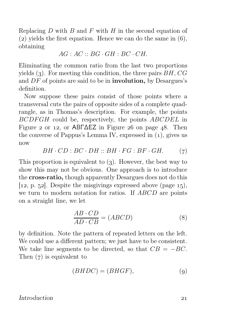Replacing  $D$  with  $B$  and  $F$  with  $H$  in the second equation of  $(2)$  yields the first equation. Hence we can do the same in  $(6)$ , obtaining

 $AG: AC:: BG \cdot GH : BC \cdot CH$ .

Eliminating the common ratio from the last two proportions yields (3). For meeting this condition, the three pairs  $BH, CG$ and DF of points are said to be in involution, by Desargues's definition.

Now suppose these pairs consist of those points where a transversal cuts the pairs of opposite sides of a complete quadrangle, as in Thomas's description. For example, the points BCDFGH could be, respectively, the points ABCDEL in Figure 2 or 12, or ABF $\Delta$ EZ in Figure 26 on page 48. Then the converse of Pappus's Lemma IV, expressed in  $(1)$ , gives us now

$$
BH \cdot CD : BC \cdot DH :: BH \cdot FG : BF \cdot GH. \tag{7}
$$

This proportion is equivalent to  $(3)$ . However, the best way to show this may not be obvious. One approach is to introduce the cross-ratio, though apparently Desargues does not do this [ $12$ , p.  $52$ ]. Despite the misgivings expressed above (page  $15$ ), we turn to modern notation for ratios. If ABCD are points on a straight line, we let

$$
\frac{AB \cdot CD}{AD \cdot CB} = (ABCD) \tag{8}
$$

by definition. Note the pattern of repeated letters on the left. We could use a different pattern; we just have to be consistent. We take line segments to be directed, so that  $CB = -BC$ . Then  $(7)$  is equivalent to

$$
(BHDC) = (BHGF), \tag{9}
$$

#### Introduction 21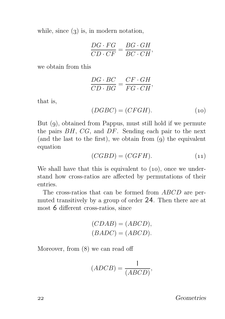while, since  $(3)$  is, in modern notation,

$$
\frac{DG \cdot FG}{CD \cdot CF} = \frac{BG \cdot GH}{BC \cdot CH},
$$

we obtain from this

$$
\frac{DG \cdot BC}{CD \cdot BG} = \frac{CF \cdot GH}{FG \cdot CH},
$$

that is,

$$
(DGBC) = (CFGH). \tag{10}
$$

But (9), obtained from Pappus, must still hold if we permute the pairs  $BH$ ,  $CG$ , and  $DF$ . Sending each pair to the next (and the last to the first), we obtain from  $(g)$  the equivalent equation

$$
(CGBD) = (CGFH). \tag{11}
$$

We shall have that this is equivalent to  $(10)$ , once we understand how cross-ratios are affected by permutations of their entries.

The cross-ratios that can be formed from ABCD are permuted transitively by a group of order 24. Then there are at most 6 different cross-ratios, since

$$
(CDAB) = (ABCD),
$$
  

$$
(BAD) = (ABCD).
$$

Moreover, from  $(8)$  we can read off

$$
(ADCB) = \frac{1}{(ABCD)},
$$

Geometries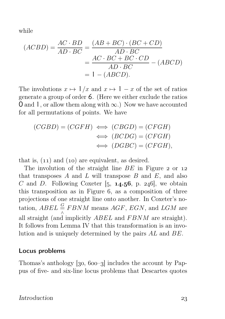while

$$
(ACBD) = \frac{AC \cdot BD}{AD \cdot BC} = \frac{(AB + BC) \cdot (BC + CD)}{AD \cdot BC}
$$

$$
= \frac{AC \cdot BC + BC \cdot CD}{AD \cdot BC} - (ABCD)
$$

$$
= 1 - (ABCD).
$$

The involutions  $x \mapsto 1/x$  and  $x \mapsto 1-x$  of the set of ratios generate a group of order 6. (Here we either exclude the ratios 0 and 1, or allow them along with  $\infty$ .) Now we have accounted for all permutations of points. We have

$$
(CGBD) = (CGFH) \iff (CBGD) = (CFGH)
$$
  

$$
\iff (BCDG) = (CFGH)
$$
  

$$
\iff (DGBC) = (CFGH),
$$

that is,  $(11)$  and  $(10)$  are equivalent, as desired.

The involution of the straight line  $BE$  in Figure 2 or 12 that transposes  $A$  and  $L$  will transpose  $B$  and  $E$ , and also C and D. Following Coxeter  $\begin{bmatrix} 5 \\ 14.56 \end{bmatrix}$ , p. 246, we obtain this transposition as in Figure  $6$ , as a composition of three projections of one straight line onto another. In Coxeter's notation,  $ABEL \stackrel{G}{\underset{\wedge}{\sim}} FBNM$  means  $AGF$ ,  $EGN$ , and  $LGM$  are all straight (and implicitly *ABEL* and *FBNM* are straight). It follows from Lemma IV that this transformation is an involution and is uniquely determined by the pairs AL and BE.

#### Locus problems

Thomas's anthology  $[30, 600–3]$  includes the account by Pappus of five- and six-line locus problems that Descartes quotes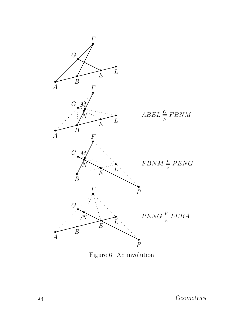

Figure 6. An involution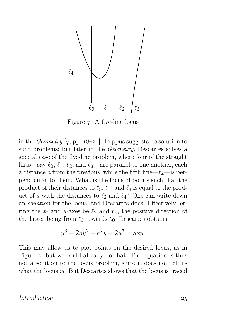

Figure 7. A five-line locus

in the *Geometry* [7, pp.  $18-21$ ]. Pappus suggests no solution to such problems; but later in the *Geometry*, Descartes solves a special case of the five-line problem, where four of the straight lines—say  $\ell_0$ ,  $\ell_1$ ,  $\ell_2$ , and  $\ell_3$ —are parallel to one another, each a distance a from the previous, while the fifth line— $\ell_4$ —is perpendicular to them. What is the locus of points such that the product of their distances to  $\ell_0$ ,  $\ell_1$ , and  $\ell_3$  is equal to the product of a with the distances to  $\ell_2$  and  $\ell_4$ ? One can write down an equation for the locus, and Descartes does. Effectively letting the x- and y-axes be  $\ell_2$  and  $\ell_4$ , the positive direction of the latter being from  $\ell_3$  towards  $\ell_0$ , Descartes obtains

$$
y^3 - 2ay^2 - a^2y + 2a^3 = axy.
$$

This may allow us to plot points on the desired locus, as in Figure 7; but we could already do that. The equation is thus not a solution to the locus problem, since it does not tell us what the locus *is*. But Descartes shows that the locus is traced

#### Introduction 25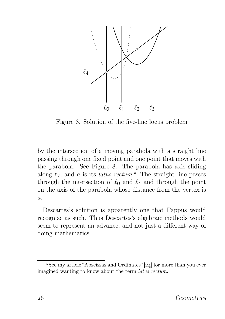

Figure 8. Solution of the five-line locus problem

by the intersection of a moving parabola with a straight line passing through one fixed point and one point that moves with the parabola. See Figure 8. The parabola has axis sliding along  $\ell_2$ , and a is its *latus rectum*.<sup>2</sup> The straight line passes through the intersection of  $\ell_0$  and  $\ell_4$  and through the point on the axis of the parabola whose distance from the vertex is  $\overline{a}$ .

Descartes's solution is apparently one that Pappus would recognize as such. Thus Descartes's algebraic methods would seem to represent an advance, and not just a different way of doing mathematics.

 ${}^{2}$ See my article "Abscissas and Ordinates" [24] for more than you ever imagined wanting to know about the term latus rectum.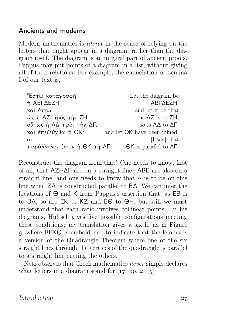#### Ancients and moderns

Modern mathematics is literal in the sense of relying on the letters that might appear in a diagram, rather than the diagram itself. The diagram is an integral part of ancient proofs. Pappus may put points of a diagram in a list, without giving all of their relations. For example, the enunciation of Lemma I of our text is,

| "Έστω καταγραφή              | Let the diagram be                          |
|------------------------------|---------------------------------------------|
| ή ABΓΔEZH,                   | ΑΒΓΔΕΖΗ,                                    |
| καὶ ἔστω                     | and let it be that                          |
| ώς ή ΑΖ πρός την ΖΗ,         | as AZ is to ZH,                             |
| ούτως ή ΑΔ πρός την ΔΓ,      | so is $A\Delta$ to $\Delta\Gamma$ ;         |
| καὶ ἐπεζεύχθω ἡ ΘΚ·          | and let $\Theta K$ have been joined;        |
| ὄτι                          | [I say] that                                |
| παράλληλός έστιν ή ΘΚ τῆ ΑΓ. | $\Theta K$ is parallel to $\overline{AF}$ . |

Reconstruct the diagram from that! One needs to know, first of all, that ΑΖΗ∆Γ are on a straight line. ΑΒΕ are also on a straight line, and one needs to know that  $\Lambda$  is to be on this line when ΖΛ is constructed parallel to Β∆. We can infer the locations of Θ and Κ from Pappus's assertion that, as ΕΒ is to ΒΛ, so are ΕΚ to ΚΖ and ΕΘ to ΘΗ; but still we must understand that each ratio involves collinear points. In his diagrams, Hultsch gives five possible configurations meeting these conditions; my translation gives a sixth, as in Figure , where ΒΕΚΘ is emboldened to indicate that the lemma is a version of the Quadrangle Theorem where one of the six straight lines through the vertices of the quadrangle is parallel to a straight line cutting the others.

Netz observes that Greek mathematics never simply declares what letters in a diagram stand for  $[17, pp. 24-5]$ :

Introduction 27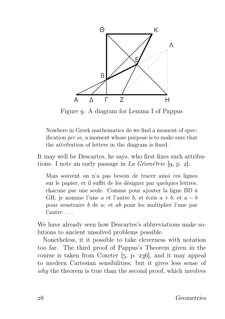

Figure 9. A diagram for Lemma I of Pappus

Nowhere in Greek mathematics do we find a moment of specification per se, a moment whose purpose is to make sure that the attribution of letters in the diagram is fixed.

It may well be Descartes, he says, who first fixes such attributions. I note an early passage in La Géométrie  $[q, p, 2]$ :

Mais souvent on n'a pas besoin de tracer ainsi ces lignes sur le papier, et il suffit de les désigner par quelques lettres, chacune par une seule. Comme pour ajouter la ligne BD à GH, je nomme l'une a et l'autre b, et écris  $a + b$ ; et  $a - b$ pour soustraire b de a; et ab pour les multiplier l'une par l'autre . . .

We have already seen how Descartes's abbreviations make solutions to ancient unsolved problems possible.

Nonetheless, it it possible to take cleverness with notation too far. The third proof of Pappus's Theorem given in the course is taken from Coxeter  $[5, p. 236]$ , and it may appeal to modern Cartesian sensibilities; but it gives less sense of why the theorem is true than the second proof, which involves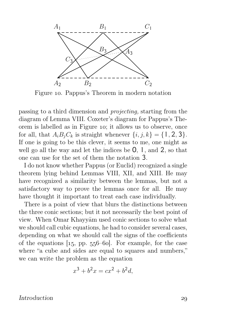

Figure 10. Pappus's Theorem in modern notation

passing to a third dimension and projecting, starting from the diagram of Lemma VIII. Coxeter's diagram for Pappus's Theorem is labelled as in Figure 10; it allows us to observe, once for all, that  $A_i B_i C_k$  is straight whenever  $\{i, j, k\} = \{1, 2, 3\}.$ If one is going to be this clever, it seems to me, one might as well go all the way and let the indices be  $0, 1$ , and  $2$ , so that one can use for the set of them the notation 3.

I do not know whether Pappus (or Euclid) recognized a single theorem lying behind Lemmas VIII, XII, and XIII. He may have recognized a similarity between the lemmas, but not a satisfactory way to prove the lemmas once for all. He may have thought it important to treat each case individually.

There is a point of view that blurs the distinctions between the three conic sections; but it not necessarily the best point of view. When Omar Khayyam used conic sections to solve what we should call cubic equations, he had to consider several cases, depending on what we should call the signs of the coefficients of the equations  $[15, pp. 556-60]$ . For example, for the case where "a cube and sides are equal to squares and numbers," we can write the problem as the equation

$$
x^3 + b^2x = cx^2 + b^2d,
$$

#### Introduction 29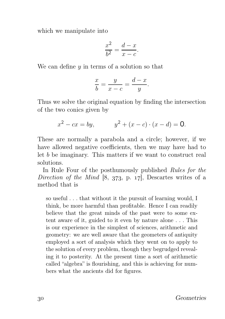which we manipulate into

$$
\frac{x^2}{b^2} = \frac{d-x}{x-c}.
$$

We can define  $y$  in terms of a solution so that

$$
\frac{x}{b} = \frac{y}{x - c} = \frac{d - x}{y}.
$$

Thus we solve the original equation by finding the intersection of the two conics given by

$$
x^{2} - cx = by
$$
,  $y^{2} + (x - c) \cdot (x - d) = 0$ .

These are normally a parabola and a circle; however, if we have allowed negative coefficients, then we may have had to let b be imaginary. This matters if we want to construct real solutions.

In Rule Four of the posthumously published Rules for the Direction of the Mind  $[8, 373, p. 17]$ , Descartes writes of a method that is

so useful . . . that without it the pursuit of learning would, I think, be more harmful than profitable. Hence I can readily believe that the great minds of the past were to some extent aware of it, guided to it even by nature alone . . . This is our experience in the simplest of sciences, arithmetic and geometry: we are well aware that the geometers of antiquity employed a sort of analysis which they went on to apply to the solution of every problem, though they begrudged revealing it to posterity. At the present time a sort of arithmetic called "algebra" is flourishing, and this is achieving for numbers what the ancients did for figures.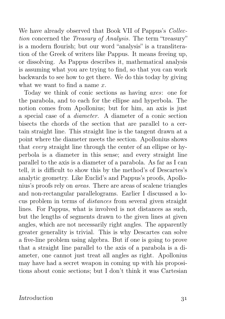We have already observed that Book VII of Pappus's Collection concerned the Treasury of Analysis. The term "treasury" is a modern flourish; but our word "analysis" is a transliteration of the Greek of writers like Pappus. It means freeing up, or dissolving. As Pappus describes it, mathematical analysis is assuming what you are trying to find, so that you can work backwards to see how to get there. We do this today by giving what we want to find a name  $x$ .

Today we think of conic sections as having axes: one for the parabola, and to each for the ellipse and hyperbola. The notion comes from Apollonius; but for him, an axis is just a special case of a diameter. A diameter of a conic section bisects the chords of the section that are parallel to a certain straight line. This straight line is the tangent drawn at a point where the diameter meets the section. Apollonius shows that every straight line through the center of an ellipse or hyperbola is a diameter in this sense; and every straight line parallel to the axis is a diameter of a parabola. As far as I can tell, it is difficult to show this by the method's of Descartes's analytic geometry. Like Euclid's and Pappus's proofs, Apollonius's proofs rely on areas. There are areas of scalene triangles and non-rectangular parallelograms. Earlier I discussed a locus problem in terms of distances from several given straight lines. For Pappus, what is involved is not distances as such, but the lengths of segments drawn to the given lines at given angles, which are not necessarily right angles. The apparently greater generality is trivial. This is why Descartes can solve a five-line problem using algebra. But if one is going to prove that a straight line parallel to the axis of a parabola is a diameter, one cannot just treat all angles as right. Apollonius may have had a secret weapon in coming up with his propositions about conic sections; but I don't think it was Cartesian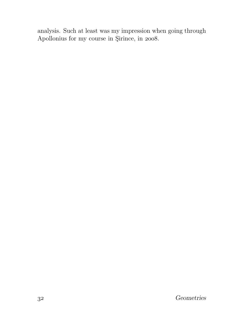analysis. Such at least was my impression when going through Apollonius for my course in Sirince, in 2008.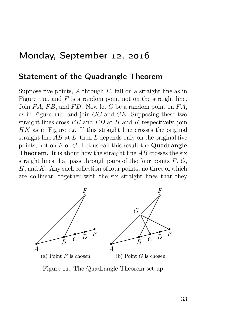# Monday, September 12, 2016

#### Statement of the Quadrangle Theorem

Suppose five points, A through  $E$ , fall on a straight line as in Figure 11a, and  $F$  is a random point not on the straight line. Join  $FA$ ,  $FB$ , and  $FD$ . Now let G be a random point on  $FA$ , as in Figure 11b, and join  $GC$  and  $GE$ . Supposing these two straight lines cross  $FB$  and  $FD$  at  $H$  and  $K$  respectively, join  $HK$  as in Figure 12. If this straight line crosses the original straight line  $AB$  at  $L$ , then  $L$  depends only on the original five points, not on  $F$  or  $G$ . Let us call this result the **Quadrangle** Theorem. It is about how the straight line AB crosses the six straight lines that pass through pairs of the four points  $F, G$ ,  $H$ , and  $K$ . Any such collection of four points, no three of which are collinear, together with the six straight lines that they



Figure 11. The Quadrangle Theorem set up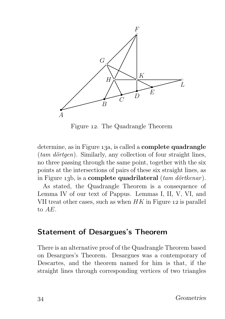

Figure 12. The Quadrangle Theorem

determine, as in Figure 13a, is called a **complete quadrangle**  $(tam\,d\ddot{o}rtaen)$ . Similarly, any collection of four straight lines, no three passing through the same point, together with the six points at the intersections of pairs of these six straight lines, as in Figure 13b, is a **complete quadrilateral**  $(tam\ d\ddot{o}rtkenar)$ .

As stated, the Quadrangle Theorem is a consequence of Lemma IV of our text of Pappus. Lemmas I, II, V, VI, and VII treat other cases, such as when  $HK$  in Figure 12 is parallel to AE.

# Statement of Desargues's Theorem

There is an alternative proof of the Quadrangle Theorem based on Desargues's Theorem. Desargues was a contemporary of Descartes, and the theorem named for him is that, if the straight lines through corresponding vertices of two triangles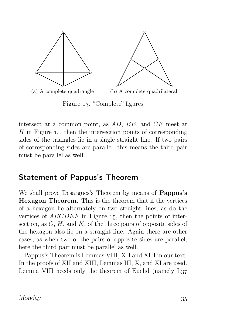

Figure 13. "Complete" figures

intersect at a common point, as AD, BE, and CF meet at  $H$  in Figure 14, then the intersection points of corresponding sides of the triangles lie in a single straight line. If two pairs of corresponding sides are parallel, this means the third pair must be parallel as well.

### Statement of Pappus's Theorem

We shall prove Desargues's Theorem by means of **Pappus's** Hexagon Theorem. This is the theorem that if the vertices of a hexagon lie alternately on two straight lines, as do the vertices of  $ABCDEF$  in Figure 15, then the points of intersection, as  $G, H$ , and  $K$ , of the three pairs of opposite sides of the hexagon also lie on a straight line. Again there are other cases, as when two of the pairs of opposite sides are parallel; here the third pair must be parallel as well.

Pappus's Theorem is Lemmas VIII, XII and XIII in our text. In the proofs of XII and XIII, Lemmas III, X, and XI are used. Lemma VIII needs only the theorem of Euclid (namely I.37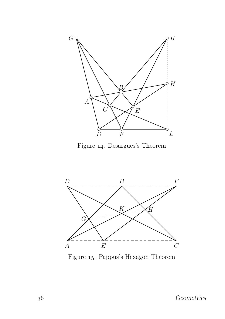

Figure 14. Desargues's Theorem



Figure 15. Pappus's Hexagon Theorem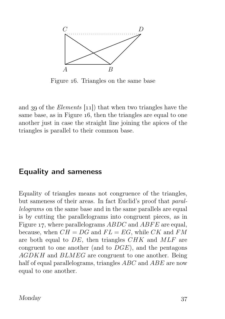

Figure 16. Triangles on the same base

and 39 of the *Elements*  $[11]$  that when two triangles have the same base, as in Figure 16, then the triangles are equal to one another just in case the straight line joining the apices of the triangles is parallel to their common base.

### Equality and sameness

Equality of triangles means not congruence of the triangles, but sameness of their areas. In fact Euclid's proof that parallelograms on the same base and in the same parallels are equal is by cutting the parallelograms into congruent pieces, as in Figure 17, where parallelograms  $ABDC$  and  $ABFE$  are equal, because, when  $CH = DG$  and  $FL = EG$ , while CK and FM are both equal to  $DE$ , then triangles  $CHK$  and  $MLF$  are congruent to one another (and to  $DGE$ ), and the pentagons AGDKH and BLMEG are congruent to one another. Being half of equal parallelograms, triangles ABC and ABE are now equal to one another.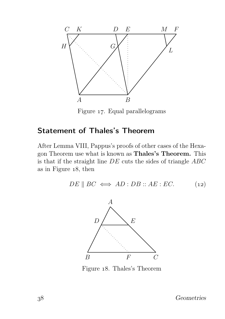

Figure 17. Equal parallelograms

# Statement of Thales's Theorem

After Lemma VIII, Pappus's proofs of other cases of the Hexagon Theorem use what is known as Thales's Theorem. This is that if the straight line  $DE$  cuts the sides of triangle  $ABC$ as in Figure 18, then

$$
DE \parallel BC \iff AD : DB :: AE : EC. \tag{12}
$$



Figure 18. Thales's Theorem

Geometries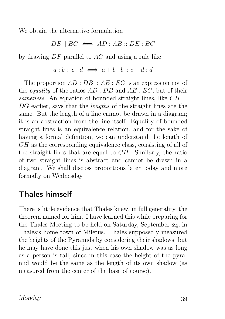We obtain the alternative formulation

 $DE \parallel BC \iff AD : AB :: DE : BC$ 

by drawing  $DF$  parallel to  $AC$  and using a rule like

$$
a:b::c:d \iff a+b:b::c+d:d
$$

The proportion  $AD : DB :: AE : EC$  is an expression not of the *equality* of the ratios  $AD : DB$  and  $AE : EC$ , but of their sameness. An equation of bounded straight lines, like  $CH =$ DG earlier, says that the *lengths* of the straight lines are the same. But the length of a line cannot be drawn in a diagram; it is an abstraction from the line itself. Equality of bounded straight lines is an equivalence relation, and for the sake of having a formal definition, we can understand the length of CH as the corresponding equivalence class, consisting of all of the straight lines that are equal to  $CH$ . Similarly, the ratio of two straight lines is abstract and cannot be drawn in a diagram. We shall discuss proportions later today and more formally on Wednesday.

## Thales himself

There is little evidence that Thales knew, in full generality, the theorem named for him. I have learned this while preparing for the Thales Meeting to be held on Saturday, September  $24$ , in Thales's home town of Miletus. Thales supposedly measured the heights of the Pyramids by considering their shadows; but he may have done this just when his own shadow was as long as a person is tall, since in this case the height of the pyramid would be the same as the length of its own shadow (as measured from the center of the base of course).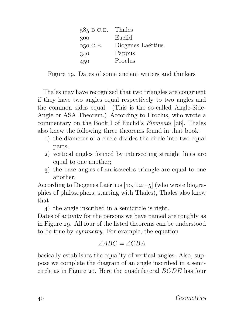| 585 B.C.E. | Thales            |
|------------|-------------------|
| 300        | Euclid            |
| 250 C.E.   | Diogenes Laërtius |
| 340        | Pappus            |
| 450        | Proclus           |

Figure 10. Dates of some ancient writers and thinkers

Thales may have recognized that two triangles are congruent if they have two angles equal respectively to two angles and the common sides equal. (This is the so-called Angle-Side-Angle or ASA Theorem.) According to Proclus, who wrote a commentary on the Book I of Euclid's *Elements* [26]. Thales also knew the following three theorems found in that book:

- ) the diameter of a circle divides the circle into two equal parts,
- ) vertical angles formed by intersecting straight lines are equal to one another;
- ) the base angles of an isosceles triangle are equal to one another.

According to Diogenes Laërtius  $[10, 1.24-5]$  (who wrote biographies of philosophers, starting with Thales), Thales also knew that

) the angle inscribed in a semicircle is right.

Dates of activity for the persons we have named are roughly as in Figure 19. All four of the listed theorems can be understood to be true by symmetry. For example, the equation

$$
\angle ABC = \angle CBA
$$

basically establishes the equality of vertical angles. Also, suppose we complete the diagram of an angle inscribed in a semicircle as in Figure 20. Here the quadrilateral  $BCDE$  has four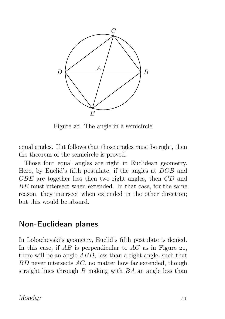

Figure 20. The angle in a semicircle

equal angles. If it follows that those angles must be right, then the theorem of the semicircle is proved.

Those four equal angles are right in Euclidean geometry. Here, by Euclid's fifth postulate, if the angles at DCB and CBE are together less then two right angles, then CD and BE must intersect when extended. In that case, for the same reason, they intersect when extended in the other direction; but this would be absurd.

### Non-Euclidean planes

In Lobachevski's geometry, Euclid's fifth postulate is denied. In this case, if  $AB$  is perpendicular to  $AC$  as in Figure 21, there will be an angle ABD, less than a right angle, such that  $BD$  never intersects  $AC$ , no matter how far extended, though straight lines through B making with BA an angle less than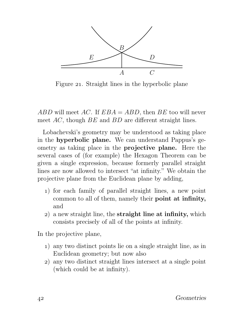

Figure 21. Straight lines in the hyperbolic plane

ABD will meet AC. If  $EBA = ABD$ , then BE too will never meet AC, though BE and BD are different straight lines.

Lobachevski's geometry may be understood as taking place in the hyperbolic plane. We can understand Pappus's geometry as taking place in the projective plane. Here the several cases of (for example) the Hexagon Theorem can be given a single expression, because formerly parallel straight lines are now allowed to intersect "at infinity." We obtain the projective plane from the Euclidean plane by adding,

- ) for each family of parallel straight lines, a new point common to all of them, namely their point at infinity, and
- ) a new straight line, the straight line at infinity, which consists precisely of all of the points at infinity.

In the projective plane,

- ) any two distinct points lie on a single straight line, as in Euclidean geometry; but now also
- ) any two distinct straight lines intersect at a single point (which could be at infinity).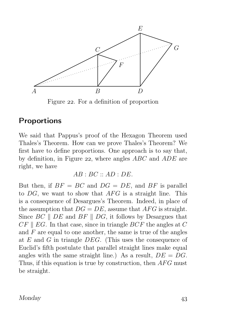

Figure 22. For a definition of proportion

# Proportions

We said that Pappus's proof of the Hexagon Theorem used Thales's Theorem. How can we prove Thales's Theorem? We first have to define proportions. One approach is to say that, by definition, in Figure 22, where angles  $ABC$  and  $ADE$  are right, we have

 $AB: BC::AD: DE$ .

But then, if  $BF = BC$  and  $DG = DE$ , and  $BF$  is parallel to  $DG$ , we want to show that  $AFG$  is a straight line. This is a consequence of Desargues's Theorem. Indeed, in place of the assumption that  $DG = DE$ , assume that  $AFG$  is straight. Since  $BC \parallel DE$  and  $BF \parallel DG$ , it follows by Desargues that  $CF \parallel EG$ . In that case, since in triangle  $BCF$  the angles at C and  $F$  are equal to one another, the same is true of the angles at  $E$  and  $G$  in triangle  $DEG$ . (This uses the consequence of Euclid's fifth postulate that parallel straight lines make equal angles with the same straight line.) As a result,  $DE = DG$ . Thus, if this equation is true by construction, then  $AFG$  must be straight.

Monday 43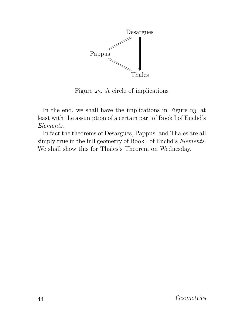

Figure 23. A circle of implications

In the end, we shall have the implications in Figure  $23$ , at least with the assumption of a certain part of Book I of Euclid's Elements.

In fact the theorems of Desargues, Pappus, and Thales are all simply true in the full geometry of Book I of Euclid's *Elements*. We shall show this for Thales's Theorem on Wednesday.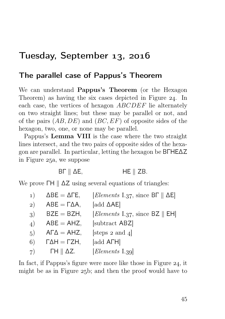# Tuesday, September 13, 2016

## The parallel case of Pappus's Theorem

We can understand Pappus's Theorem (or the Hexagon Theorem) as having the six cases depicted in Figure  $24$ . In each case, the vertices of hexagon ABCDEF lie alternately on two straight lines; but these may be parallel or not, and of the pairs  $(AB, DE)$  and  $(BC, EF)$  of opposite sides of the hexagon, two, one, or none may be parallel.

Pappus's Lemma VIII is the case where the two straight lines intersect, and the two pairs of opposite sides of the hexagon are parallel. In particular, letting the hexagon be ΒΓΗΕ∆Ζ in Figure  $25a$ , we suppose

$$
B\Gamma \parallel \Delta E, \qquad \qquad HE \parallel ZB.
$$

We prove  $\Gamma$ Η  $\Delta$  Z using several equations of triangles:

| 1)               | $\Delta BE = \Delta \Gamma E$ , | [ <i>Elements</i> I.37, since $\textsf{B}\Gamma \parallel \Delta \textsf{E}$ ] |
|------------------|---------------------------------|--------------------------------------------------------------------------------|
| 2)               | $ABE = \Gamma \Delta A$ ,       | [add $\Delta$ AE]                                                              |
| $\left(3\right)$ | $BZE = BZH$ ,                   | <i>Elements</i> I.37, since $BZ \parallel E H$                                 |
| (4)              | $ABE = AHZ$ ,                   | subtract ABZ                                                                   |
| (5)              | $AT\Delta = AHZ$ ,              | steps 2 and $4$                                                                |
| 6)               | $\Gamma \Delta H = \Gamma Z H$  | [add ATH]                                                                      |
| $\mathcal{L}$    | $\Gamma H \parallel \Delta Z.$  | [Elements I.39]                                                                |

In fact, if Pappus's figure were more like those in Figure  $24$ , it might be as in Figure  $25b$ ; and then the proof would have to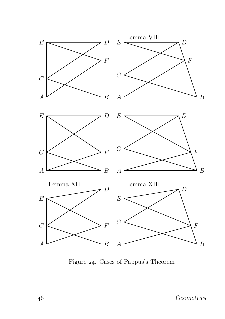

Figure 24. Cases of Pappus's Theorem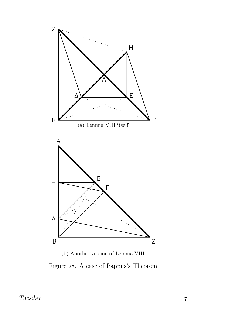

(b) Another version of Lemma VIII

Figure 25. A case of Pappus's Theorem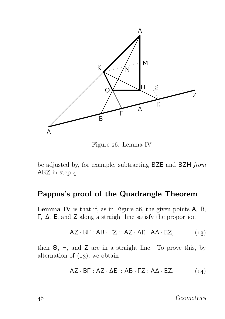

Figure 26. Lemma IV

be adjusted by, for example, subtracting ΒΖΕ and ΒΖΗ from  $ABZ$  in step 4.

# Pappus's proof of the Quadrangle Theorem

Lemma IV is that if, as in Figure 26, the given points A, B, Γ, ∆, Ε, and Ζ along a straight line satisfy the proportion

$$
\mathsf{AZ} \cdot \mathsf{B} \Gamma : \mathsf{AB} \cdot \Gamma \mathsf{Z} :: \mathsf{AZ} \cdot \Delta \mathsf{E} : \mathsf{A} \Delta \cdot \mathsf{E} \mathsf{Z}, \tag{13}
$$

then Θ, Η, and Ζ are in a straight line. To prove this, by alternation of  $(1,3)$ , we obtain

$$
\mathsf{AZ} \cdot \mathsf{B} \Gamma : \mathsf{AZ} \cdot \Delta \mathsf{E} :: \mathsf{AB} \cdot \Gamma \mathsf{Z} : \mathsf{A} \Delta \cdot \mathsf{EZ}. \tag{14}
$$

Geometries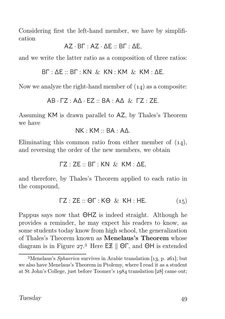Considering first the left-hand member, we have by simplification

$$
\mathsf{AZ}\cdot\mathsf{B}\Gamma:\mathsf{AZ}\cdot\Delta E::\mathsf{B}\Gamma:\Delta E,
$$

and we write the latter ratio as a composition of three ratios:

ΒΓ : ∆Ε :: ΒΓ : ΚΝ & ΚΝ : ΚΜ & ΚΜ : ∆Ε.

Now we analyze the right-hand member of  $(14)$  as a composite:

$$
AB \cdot \Gamma Z : A \Delta \cdot EZ :: BA : A \Delta \& \Gamma Z : Z E.
$$

Assuming ΚΜ is drawn parallel to ΑΖ, by Thales's Theorem we have

$$
NK:KM::BA:A\Delta.
$$

Eliminating this common ratio from either member of  $(14)$ , and reversing the order of the new members, we obtain

$$
\Gamma Z : ZE :: B\Gamma : KN \& KM : \Delta E,
$$

and therefore, by Thales's Theorem applied to each ratio in the compound,

$$
\Gamma Z : ZE :: \Theta \Gamma : K\Theta \& KH : HE. \tag{15}
$$

Pappus says now that ΘΗΖ is indeed straight. Although he provides a reminder, he may expect his readers to know, as some students today know from high school, the generalization of Thales's Theorem known as Menelaus's Theorem whose diagram is in Figure 27.<sup>3</sup> Here **EZ**  $\parallel$  ΘΓ, and ΘΗ is extended

<sup>&</sup>lt;sup>3</sup>Menelaus's *Sphaerica* survives in Arabic translation  $[13, p. 261]$ ; but we also have Menelaus's Theorem in Ptolemy, where I read it as a student at St John's College, just before Toomer's  $1984$  translation [28] came out;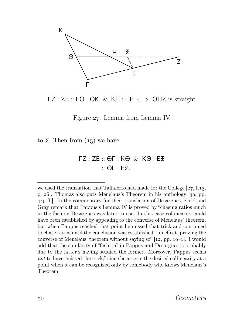

 $\Gamma Z : ZE :: \Gamma \Theta : \Theta K \& K H : HE \iff \Theta HZ$  is straight

Figure 27. Lemma from Lemma IV

to  $\mathsf{Z}$ . Then from  $(15)$  we have

## ΓΖ : ΖΕ :: ΘΓ : ΚΘ & ΚΘ : ΕΞ :: ΘΓ : ΕΞ.

we used the translation that Taliaferro had made for the College  $[27, 1.13,$ p. 26. Thomas also puts Menelaus's Theorem in his anthology [30, pp. 445 ff.]. In the commentary for their translation of Desargues, Field and Gray remark that Pappus's Lemma IV is proved by "chasing ratios much in the fashion Desargues was later to use. In this case collinearity could have been established by appealing to the converse of Menelaus' theorem, but when Pappus reached that point he missed that trick and continued to chase ratios until the conclusion was established—in effect, proving the converse of Menelaus' theorem without saying so"  $[12, pp. 10-1]$ . I would add that the similarity of "fashion" in Pappus and Desargues is probably due to the latter's having studied the former. Moreover, Pappus seems not to have "missed the trick," since he asserts the desired collinearity at a point when it can be recognized only by somebody who knows Menelaus's Theorem.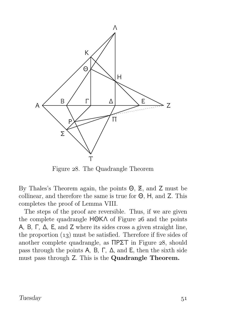

Figure 28. The Quadrangle Theorem

By Thales's Theorem again, the points  $\Theta$ ,  $\Xi$ , and  $\Xi$  must be collinear, and therefore the same is true for Θ, Η, and Ζ. This completes the proof of Lemma VIII.

The steps of the proof are reversible. Thus, if we are given the complete quadrangle  $H\Theta K\Lambda$  of Figure 26 and the points Α, Β, Γ, ∆, Ε, and Ζ where its sides cross a given straight line, the proportion  $(1, 3)$  must be satisfied. Therefore if five sides of another complete quadrangle, as  $\Pi$ PΣT in Figure 28, should pass through the points Α, Β, Γ, ∆, and Ε, then the sixth side must pass through Ζ. This is the Quadrangle Theorem.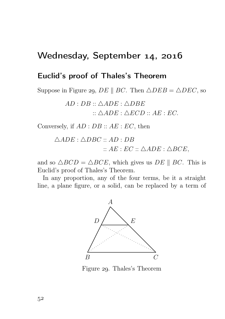# Wednesday, September 14, 2016

### Euclid's proof of Thales's Theorem

Suppose in Figure 29, DE | BC. Then  $\triangle DEB = \triangle DEC$ , so

 $AD \cdot DB \cdot \wedge ADE \cdot \wedge DBE$  $\therefore \triangle ADE : \triangle ECD :: AE : EC.$ 

Conversely, if  $AD : DB :: AE : EC$ , then

 $\triangle ADE \cdot \triangle DBC - AD \cdot DB$  $:: AE: EC::\triangle ADE:\triangle BCE,$ 

and so  $\triangle BCD = \triangle BCE$ , which gives us DE || BC. This is Euclid's proof of Thales's Theorem.

In any proportion, any of the four terms, be it a straight line, a plane figure, or a solid, can be replaced by a term of



Figure 29. Thales's Theorem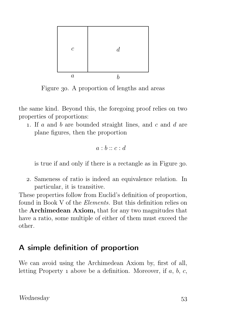

Figure 30. A proportion of lengths and areas

the same kind. Beyond this, the foregoing proof relies on two properties of proportions:

1. If  $a$  and  $b$  are bounded straight lines, and  $c$  and  $d$  are plane figures, then the proportion

$$
a:b::c:d
$$

is true if and only if there is a rectangle as in Figure 30.

. Sameness of ratio is indeed an equivalence relation. In particular, it is transitive.

These properties follow from Euclid's definition of proportion, found in Book V of the *Elements*. But this definition relies on the Archimedean Axiom, that for any two magnitudes that have a ratio, some multiple of either of them must exceed the other.

### A simple definition of proportion

We can avoid using the Archimedean Axiom by, first of all, letting Property 1 above be a definition. Moreover, if  $a, b, c$ ,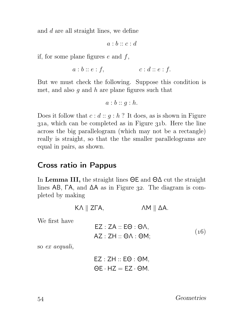and d are all straight lines, we define

$$
a:b::c:d
$$

if, for some plane figures  $e$  and  $f$ ,

$$
a:b::e:f,
$$
  $c:d::e:f.$ 

But we must check the following. Suppose this condition is met, and also q and h are plane figures such that

$$
a:b::g:h.
$$

Does it follow that  $c : d :: g : h$  ? It does, as is shown in Figure  $31a$ , which can be completed as in Figure  $31b$ . Here the line across the big parallelogram (which may not be a rectangle) really is straight, so that the the smaller parallelograms are equal in pairs, as shown.

#### Cross ratio in Pappus

In Lemma III, the straight lines ΘΕ and Θ∆ cut the straight lines AB, ΓΑ, and  $\Delta A$  as in Figure 32. The diagram is completed by making

ΚΛ || ΖΓΑ, ΛΜ || ΔΑ.

We first have

$$
EZ: ZA :: EO : \Theta A,
$$
  

$$
AZ: ZH :: \Theta A : \Theta M;
$$
 (16)

so ex aequali,

$$
EZ: ZH :: E\Theta : \Theta M,
$$

$$
\Theta E \cdot HZ = EZ \cdot \Theta M.
$$

Geometries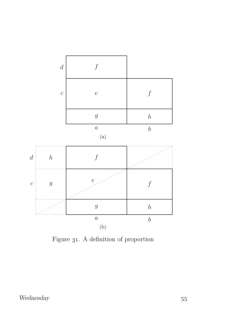

Figure 31. A definition of proportion  $% \mathcal{N}$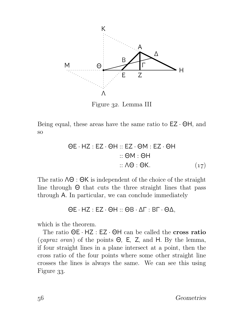

Figure 32. Lemma III

Being equal, these areas have the same ratio to ΕΖ · ΘΗ, and so

$$
\Theta E \cdot HZ : EZ \cdot \Theta H :: EZ \cdot \Theta M : EZ \cdot \Theta H
$$

$$
:: \Theta M : \Theta H
$$

$$
:: \Lambda \Theta : \Theta K. \tag{17}
$$

The ratio ΛΘ : ΘΚ is independent of the choice of the straight line through  $\Theta$  that cuts the three straight lines that pass through Α. In particular, we can conclude immediately

ΘΕ · ΗΖ : ΕΖ · ΘΗ :: ΘΒ · ∆Γ : ΒΓ · Θ∆,

which is the theorem.

The ratio ΘΕ · ΗΖ : ΕΖ · ΘΗ can be called the cross ratio  $(capraz \, oran)$  of the points  $\Theta$ , E, Z, and H. By the lemma, if four straight lines in a plane intersect at a point, then the cross ratio of the four points where some other straight line crosses the lines is always the same. We can see this using Figure 33.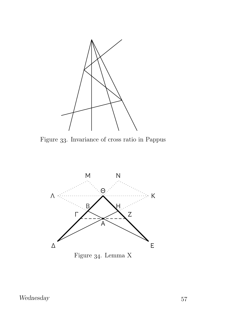

Figure 33. Invariance of cross ratio in Pappus



Figure 34. Lemma  $\mathbf X$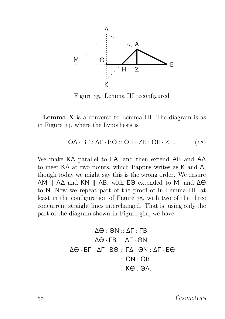

Figure 35. Lemma III reconfigured

**Lemma X** is a converse to Lemma III. The diagram is as in Figure  $34$ , where the hypothesis is

$$
\Theta \Delta \cdot \text{B} \Gamma : \Delta \Gamma \cdot \text{B} \Theta :: \Theta \text{H} \cdot \text{ZE} : \Theta \text{E} \cdot \text{ZH.} \tag{18}
$$

We make ΚΛ parallel to ΓΑ, and then extend ΑΒ and Α∆ to meet  $K\Lambda$  at two points, which Pappus writes as K and  $\Lambda$ , though today we might say this is the wrong order. We ensure  $\Lambda$ M || AΔ and KN || AB, with EΘ extended to M, and  $\Delta$ Θ to Ν. Now we repeat part of the proof of in Lemma III, at least in the configuration of Figure 35, with two of the three concurrent straight lines interchanged. That is, using only the part of the diagram shown in Figure 36a, we have

$$
\Delta \Theta : \Theta N :: \Delta \Gamma : \Gamma B,
$$

$$
\Delta \Theta \cdot \Gamma B = \Delta \Gamma \cdot \Theta N,
$$

$$
\Delta \Theta \cdot B \Gamma : \Delta \Gamma \cdot B \Theta :: \Gamma \Delta \cdot \Theta N : \Delta \Gamma \cdot B \Theta
$$

$$
:: \Theta N : \Theta B
$$

$$
:: \mathsf{K} \Theta : \Theta \Lambda.
$$

58 Geometries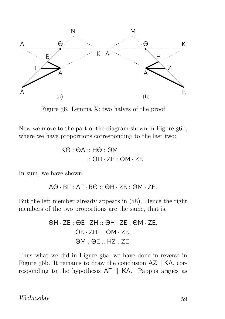

Figure 36. Lemma X: two halves of the proof

Now we move to the part of the diagram shown in Figure 36b, where we have proportions corresponding to the last two:

$$
\mathsf{KO} : \Theta \Lambda :: \mathsf{HO} : \Theta \mathsf{M} \\ :: \Theta \mathsf{H} \cdot \mathsf{ZE} : \Theta \mathsf{M} \cdot \mathsf{ZE}.
$$

In sum, we have shown

∆Θ · ΒΓ : ∆Γ · ΒΘ :: ΘΗ · ΖΕ : ΘΜ · ΖΕ.

But the left member already appears in  $(18)$ . Hence the right members of the two proportions are the same, that is,

$$
\Theta H \cdot ZE : \Theta E \cdot ZH :: \Theta H \cdot ZE : \Theta M \cdot ZE,
$$

$$
\Theta E \cdot ZH = \Theta M \cdot ZE,
$$

$$
\Theta M : \Theta E :: HZ : ZE.
$$

Thus what we did in Figure 36a, we have done in reverse in Figure 36b. It remains to draw the conclusion  $AZ \parallel K\Lambda$ , corresponding to the hypothesis  $AF \parallel K\Lambda$ . Pappus argues as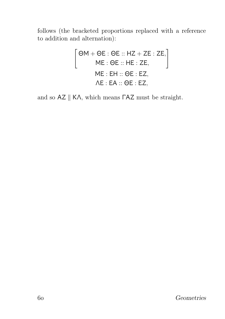follows (the bracketed proportions replaced with a reference to addition and alternation):

$$
\begin{bmatrix} \Theta M + \Theta E : \Theta E :: HZ + ZE : ZE, \\ ME : \Theta E :: HE : ZE, \\ ME : EH :: \Theta E : EZ, \\ \Lambda E : EA :: \Theta E : EZ, \end{bmatrix}
$$

and so  $AZ \parallel K\Lambda$ , which means ΓΑΖ must be straight.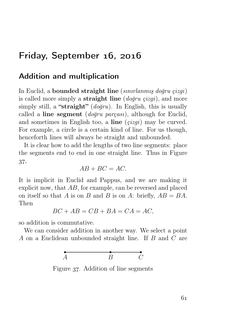# Friday, September 16, 2016

### Addition and multiplication

In Euclid, a bounded straight line (sınırlanmış doğru çizgi) is called more simply a **straight line**  $(dofi>oq^i; q^i; q^i)$ , and more simply still, a "straight"  $(dofi>o\tilde{q}ru)$ . In English, this is usually called a line segment  $(dogru \text{ parças}_i)$ , although for Euclid, and sometimes in English too, a line (çizgi) may be curved. For example, a circle is a certain kind of line. For us though, henceforth lines will always be straight and unbounded.

It is clear how to add the lengths of two line segments: place the segments end to end in one straight line. Thus in Figure 37,

$$
AB + BC = AC.
$$

It is implicit in Euclid and Pappus, and we are making it explicit now, that  $AB$ , for example, can be reversed and placed on itself so that A is on B and B is on A: briefly,  $AB = BA$ . Then

$$
BC + AB = CB + BA = CA = AC,
$$

so addition is commutative.

We can consider addition in another way. We select a point A on a Euclidean unbounded straight line. If B and C are



Figure 37. Addition of line segments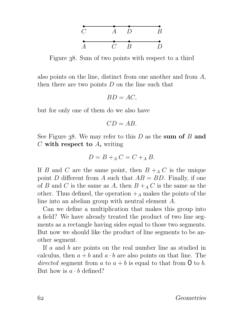

Figure 38. Sum of two points with respect to a third

also points on the line, distinct from one another and from A, then there are two points  $D$  on the line such that

$$
BD=AC,
$$

but for only one of them do we also have

$$
CD = AB.
$$

See Figure 38. We may refer to this D as the sum of B and  $C$  with respect to  $A$ , writing

$$
D = B +_A C = C +_A B.
$$

If B and C are the same point, then  $B + _{A} C$  is the unique point D different from A such that  $AB = BD$ . Finally, if one of B and C is the same as A, then  $B + _{A} C$  is the same as the other. Thus defined, the operation  $+_{A}$  makes the points of the line into an abelian group with neutral element A.

Can we define a multiplication that makes this group into a field? We have already treated the product of two line segments as a rectangle having sides equal to those two segments. But now we should like the product of line segments to be another segment.

If a and b are points on the real number line as studied in calculus, then  $a + b$  and  $a \cdot b$  are also points on that line. The directed segment from a to  $a + b$  is equal to that from **O** to b. But how is  $a \cdot b$  defined?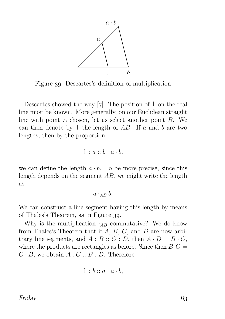

Figure 39. Descartes's definition of multiplication

Descartes showed the way  $[7]$ . The position of 1 on the real line must be known. More generally, on our Euclidean straight line with point A chosen, let us select another point B. We can then denote by 1 the length of AB. If a and b are two lengths, then by the proportion

$$
1 : a :: b : a \cdot b,
$$

we can define the length  $a \cdot b$ . To be more precise, since this length depends on the segment AB, we might write the length as

$$
a \cdot_{AB} b
$$
.

We can construct a line segment having this length by means of Thales's Theorem, as in Figure 39.

Why is the multiplication  $\cdot_{AB}$  commutative? We do know from Thales's Theorem that if  $A, B, C$ , and  $D$  are now arbitrary line segments, and  $A : B :: C : D$ , then  $A \cdot D = B \cdot C$ , where the products are rectangles as before. Since then  $B \cdot C =$  $C \cdot B$ , we obtain  $A : C :: B : D$ . Therefore

$$
1:b::a:a\cdot b,
$$

#### Friday 63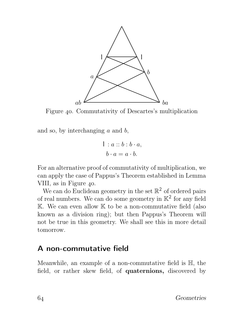

Figure . Commutativity of Descartes's multiplication

and so, by interchanging  $a$  and  $b$ ,

$$
1 : a :: b : b \cdot a,
$$
  

$$
b \cdot a = a \cdot b.
$$

For an alternative proof of commutativity of multiplication, we can apply the case of Pappus's Theorem established in Lemma VIII, as in Figure 40.

We can do Euclidean geometry in the set  $\mathbb{R}^2$  of ordered pairs of real numbers. We can do some geometry in  $\mathbb{K}^2$  for any field  $\mathbb{K}$ . We can even allow  $\mathbb{K}$  to be a non-commutative field (also known as a division ring); but then Pappus's Theorem will not be true in this geometry. We shall see this in more detail tomorrow.

### A non-commutative field

Meanwhile, an example of a non-commutative field is H, the field, or rather skew field, of quaternions, discovered by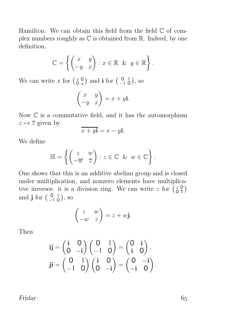Hamilton. We can obtain this field from the field  $\mathbb C$  of complex numbers roughly as  $\mathbb C$  is obtained from  $\mathbb R$ . Indeed, by one definition,

$$
\mathbb{C} = \left\{ \begin{pmatrix} x & y \\ -y & x \end{pmatrix} : x \in \mathbb{R} \& y \in \mathbb{R} \right\}.
$$

We can write x for  $\begin{pmatrix} x & 0 \\ 0 & x \end{pmatrix}$  $\begin{pmatrix} x & 0 \\ 0 & x \end{pmatrix}$  and **i** for  $\begin{pmatrix} 0 & 1 \\ -1 & 0 \end{pmatrix}$ , so

$$
\begin{pmatrix} x & y \\ -y & x \end{pmatrix} = x + y\mathbf{i}.
$$

Now  $\mathbb C$  is a commutative field, and it has the automorphism  $z \mapsto \overline{z}$  given by

$$
\overline{x+y\mathbf{i}} = x-y\mathbf{i}.
$$

We define

$$
\mathbb{H} = \left\{ \begin{pmatrix} z & w \\ -\overline{w} & \overline{z} \end{pmatrix} : z \in \mathbb{C} \& w \in \mathbb{C} \right\}.
$$

One shows that this is an additive abelian group and is closed under multiplication, and nonzero elements have multiplicative inverses: it is a division ring. We can write z for  $\left(\frac{z}{0}\right)$  $\left(\begin{smallmatrix} z & 0 \\ 0 & \overline{z} \end{smallmatrix}\right)$ and  $\mathbf{j}$  for  $\begin{pmatrix} 0 & 1 \\ -1 & 0 \end{pmatrix}$ , so

$$
\begin{pmatrix} z & w \\ -w & z \end{pmatrix} = z + w \mathbf{j}.
$$

Then

$$
\mathbf{i}\mathbf{j} = \begin{pmatrix} \mathbf{i} & 0 \\ 0 & -\mathbf{i} \end{pmatrix} \begin{pmatrix} 0 & 1 \\ -1 & 0 \end{pmatrix} = \begin{pmatrix} 0 & \mathbf{i} \\ \mathbf{i} & 0 \end{pmatrix}, \\ \mathbf{j}\mathbf{i} = \begin{pmatrix} 0 & 1 \\ -1 & 0 \end{pmatrix} \begin{pmatrix} \mathbf{i} & 0 \\ 0 & -\mathbf{i} \end{pmatrix} = \begin{pmatrix} 0 & -\mathbf{i} \\ -\mathbf{i} & 0 \end{pmatrix}.
$$

#### Friday 65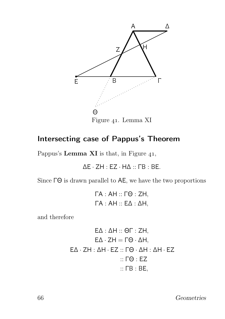

Figure 41. Lemma XI

## Intersecting case of Pappus's Theorem

Pappus's Lemma XI is that, in Figure  $41$ ,

∆Ε · ΖΗ : ΕΖ · Η∆ :: ΓΒ : ΒΕ.

Since ΓΘ is drawn parallel to ΑΕ, we have the two proportions

ΓΑ : ΑΗ :: ΓΘ : ΖΗ, ΓΑ : ΑΗ :: Ε∆ : ∆Η,

and therefore

Ε∆ : ∆Η :: ΘΓ : ΖΗ, Ε∆ · ΖΗ = ΓΘ · ∆Η, Ε∆ · ΖΗ : ∆Η · ΕΖ :: ΓΘ · ∆Η : ∆Η · ΕΖ :: ΓΘ : ΕΖ :: ΓΒ : ΒΕ,

Geometries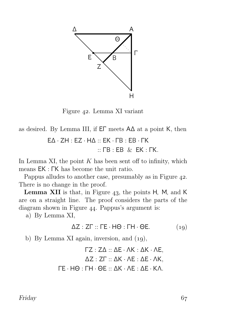

Figure 42. Lemma XI variant

as desired. By Lemma III, if ΕΓ meets Α∆ at a point Κ, then

Ε∆ · ΖΗ : ΕΖ · Η∆ :: ΕΚ · ΓΒ : ΕΒ · ΓΚ :: ΓΒ : ΕΒ & ΕΚ : ΓΚ.

In Lemma XI, the point  $K$  has been sent off to infinity, which means ΕΚ : ΓΚ has become the unit ratio.

Pappus alludes to another case, presumably as in Figure 42. There is no change in the proof.

**Lemma XII** is that, in Figure 43, the points  $H$ , M, and K are on a straight line. The proof considers the parts of the diagram shown in Figure  $44$ . Pappus's argument is:

a) By Lemma XI,

$$
\Delta Z : Z\Gamma :: \Gamma E \cdot H\Theta : \Gamma H \cdot \Theta E. \tag{19}
$$

b) By Lemma XI again, inversion, and  $(19)$ ,

$$
\begin{aligned}\n \Gamma Z: Z\Delta :: \Delta E \cdot \Delta K: \Delta K \cdot \Delta E, \\
\Delta Z: Z\Gamma :: \Delta K \cdot \Delta E: \Delta E \cdot \Delta K, \\
\Gamma E \cdot \text{HO}: \Gamma H \cdot \text{OE} :: \Delta K \cdot \Delta E: \Delta E \cdot K\Delta.\n \end{aligned}
$$

Friday 67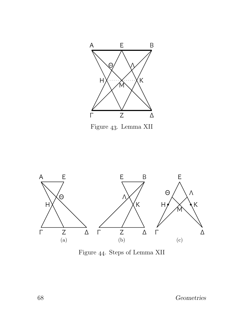

Figure 43. Lemma XII



Figure 44. Steps of Lemma XII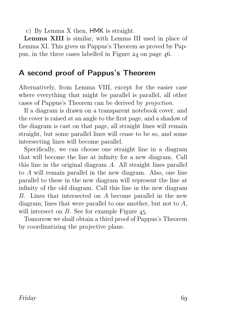c) By Lemma X then, ΗΜΚ is straight.

Lemma XIII is similar, with Lemma III used in place of Lemma XI. This gives us Pappus's Theorem as proved by Pappus, in the three cases labelled in Figure  $24$  on page  $46$ .

# A second proof of Pappus's Theorem

Alternatively, from Lemma VIII, except for the easier case where everything that might be parallel is parallel, all other cases of Pappus's Theorem can be derived by projection.

If a diagram is drawn on a transparent notebook cover, and the cover is raised at an angle to the first page, and a shadow of the diagram is cast on that page, all straight lines will remain straight, but some parallel lines will cease to be so, and some intersecting lines will become parallel.

Specifically, we can choose one straight line in a diagram that will become the line at infinity for a new diagram. Call this line in the original diagram A. All straight lines parallel to A will remain parallel in the new diagram. Also, one line parallel to these in the new diagram will represent the line at infinity of the old diagram. Call this line in the new diagram B. Lines that intersected on A become parallel in the new diagram; lines that were parallel to one another, but not to  $A$ , will intersect on  $B$ . See for example Figure 45.

Tomorrow we shall obtain a third proof of Pappus's Theorem by coordinatizing the projective plane.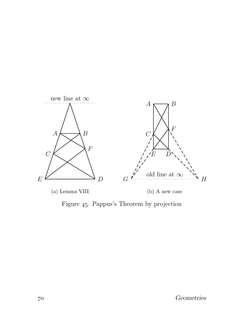

Figure 45. Pappus's Theorem by projection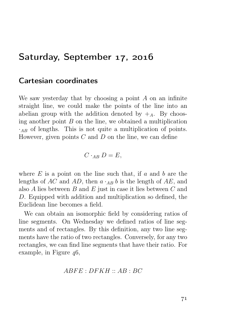# Saturday, September 17, 2016

### Cartesian coordinates

We saw yesterday that by choosing a point  $A$  on an infinite straight line, we could make the points of the line into an abelian group with the addition denoted by  $+_4$ . By choosing another point  $B$  on the line, we obtained a multiplication  $\cdot$ <sub>AB</sub> of lengths. This is not quite a multiplication of points. However, given points  $C$  and  $D$  on the line, we can define

$$
C \cdot_{AB} D = E,
$$

where  $E$  is a point on the line such that, if a and b are the lengths of AC and AD, then  $a \cdot_{AB} b$  is the length of AE, and also A lies between  $B$  and  $E$  just in case it lies between  $C$  and D. Equipped with addition and multiplication so defined, the Euclidean line becomes a field.

We can obtain an isomorphic field by considering ratios of line segments. On Wednesday we defined ratios of line segments and of rectangles. By this definition, any two line segments have the ratio of two rectangles. Conversely, for any two rectangles, we can find line segments that have their ratio. For example, in Figure  $46$ ,

$$
ABFE:DFKH::AB:BC
$$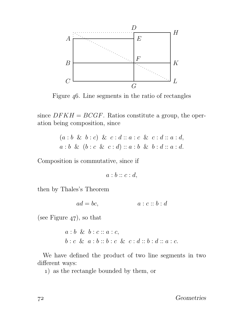

Figure 46. Line segments in the ratio of rectangles

since  $DFKH = BCGF$ . Ratios constitute a group, the operation being composition, since

> $(a : b \& b : c) \& c : d :: a : c \& c : d :: a : d,$  $a : b \& (b : c \& c : d) :: a : b \& b : d :: a : d$ .

Composition is commutative, since if

 $a:b::c:d$ ,

then by Thales's Theorem

$$
ad = bc, \qquad a:c::b:d
$$

(see Figure  $47$ ), so that

 $a : b \& b : c :: a : c$ ,  $b : c \& a : b :: b : c \& c : d :: b : d :: a : c.$ 

We have defined the product of two line segments in two different ways:

) as the rectangle bounded by them, or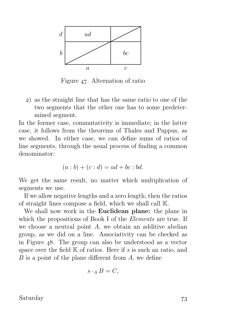

Figure 47. Alternation of ratio

) as the straight line that has the same ratio to one of the two segments that the other one has to some predetermined segment.

In the former case, commutativity is immediate; in the latter case, it follows from the theorems of Thales and Pappus, as we showed. In either case, we can define sums of ratios of line segments, through the usual process of finding a common denominator:

$$
(a:b) + (c:d) = ad + bc : bd.
$$

We get the same result, no matter which multiplication of segments we use.

If we allow negative lengths and a zero length; then the ratios of straight lines compose a field, which we shall call K.

We shall now work in the Euclidean plane: the plane in which the propositions of Book I of the *Elements* are true. If we choose a neutral point  $A$ , we obtain an additive abelian group, as we did on a line. Associativity can be checked as in Figure  $48$ . The group can also be understood as a vector space over the field  $K$  of ratios. Here if s is such an ratio, and  $B$  is a point of the plane different from  $A$ , we define

$$
s \cdot_A B = C,
$$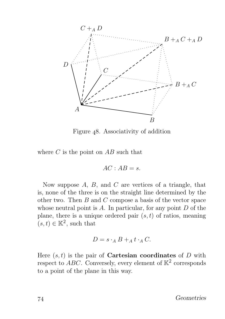

Figure 48. Associativity of addition

where  $C$  is the point on  $AB$  such that

$$
AC:AB=s.
$$

Now suppose  $A, B$ , and  $C$  are vertices of a triangle, that is, none of the three is on the straight line determined by the other two. Then B and C compose a basis of the vector space whose neutral point is  $A$ . In particular, for any point  $D$  of the plane, there is a unique ordered pair  $(s, t)$  of ratios, meaning  $(s, t) \in \mathbb{K}^2$ , such that

$$
D = s \cdot_A B + A t \cdot_A C.
$$

Here  $(s, t)$  is the pair of **Cartesian coordinates** of D with respect to *ABC*. Conversely, every element of  $\mathbb{K}^2$  corresponds to a point of the plane in this way.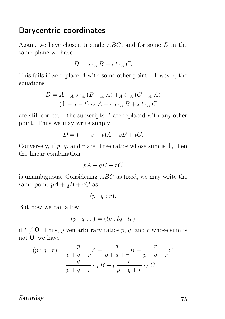#### Barycentric coordinates

Again, we have chosen triangle  $ABC$ , and for some  $D$  in the same plane we have

$$
D = s \cdot_A B + A t \cdot_A C.
$$

This fails if we replace A with some other point. However, the equations

$$
D = A +_{A} s \cdot_{A} (B -_{A} A) +_{A} t \cdot_{A} (C -_{A} A)
$$
  
= (1 - s - t) \cdot\_{A} A +\_{A} s \cdot\_{A} B +\_{A} t \cdot\_{A} C

are still correct if the subscripts A are replaced with any other point. Thus we may write simply

$$
D = (1 - s - t)A + sB + tC.
$$

Conversely, if  $p, q$ , and  $r$  are three ratios whose sum is 1, then the linear combination

$$
pA + qB + rC
$$

is unambiguous. Considering ABC as fixed, we may write the same point  $pA + qB + rC$  as

$$
(p:q:r).
$$

But now we can allow

$$
(p:q:r) = (tp:tq:tr)
$$

if  $t \neq 0$ . Thus, given arbitrary ratios p, q, and r whose sum is not 0, we have

$$
(p:q:r) = \frac{p}{p+q+r}A + \frac{q}{p+q+r}B + \frac{r}{p+q+r}C
$$
  
=  $\frac{q}{p+q+r} \cdot_A B + A \frac{r}{p+q+r} \cdot_A C.$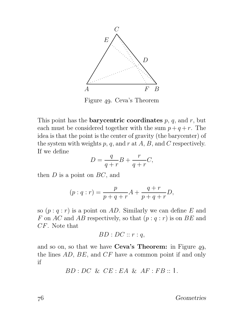

Figure 49. Ceva's Theorem

This point has the **barycentric coordinates**  $p$ ,  $q$ , and  $r$ , but each must be considered together with the sum  $p+q+r$ . The idea is that the point is the center of gravity (the barycenter) of the system with weights p, q, and r at A, B, and C respectively. If we define

$$
D = \frac{q}{q+r}B + \frac{r}{q+r}C,
$$

then  $D$  is a point on  $BC$ , and

$$
(p:q:r) = \frac{p}{p+q+r}A + \frac{q+r}{p+q+r}D,
$$

so  $(p: q: r)$  is a point on AD. Similarly we can define E and F on AC and AB respectively, so that  $(p:q:r)$  is on BE and CF. Note that

$$
BD:DC::r:q,
$$

and so on, so that we have **Ceva's Theorem:** in Figure  $49$ , the lines AD, BE, and CF have a common point if and only if

$$
BD:DC \& CE: EA \& AF: FB::1.
$$

Geometries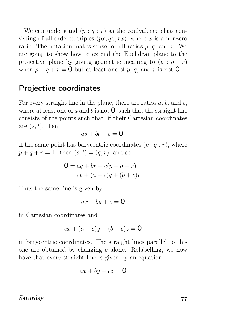We can understand  $(p: q: r)$  as the equivalence class consisting of all ordered triples  $(px, qx, rx)$ , where x is a nonzero ratio. The notation makes sense for all ratios  $p, q$ , and  $r$ . We are going to show how to extend the Euclidean plane to the projective plane by giving geometric meaning to  $(p : q : r)$ when  $p + q + r = 0$  but at least one of p, q, and r is not 0.

### Projective coordinates

For every straight line in the plane, there are ratios  $a, b$ , and  $c$ , where at least one of a and b is not  $\mathbf{0}$ , such that the straight line consists of the points such that, if their Cartesian coordinates are  $(s, t)$ , then

$$
as + bt + c = 0.
$$

If the same point has barycentric coordinates  $(p : q : r)$ , where  $p + q + r = 1$ , then  $(s, t) = (q, r)$ , and so

$$
0 = aq + br + c(p + q + r)
$$
  
= cp + (a + c)q + (b + c)r.

Thus the same line is given by

$$
ax + by + c = 0
$$

in Cartesian coordinates and

$$
cx + (a+c)y + (b+c)z = \mathbf{0}
$$

in barycentric coordinates. The straight lines parallel to this one are obtained by changing  $c$  alone. Relabelling, we now have that every straight line is given by an equation

$$
ax + by + cz = 0
$$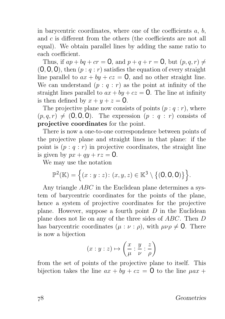in barycentric coordinates, where one of the coefficients  $a, b$ , and c is different from the others (the coefficients are not all equal). We obtain parallel lines by adding the same ratio to each coefficient.

Thus, if  $ap + bq + cr = 0$ , and  $p + q + r = 0$ , but  $(p, q, r) \neq$  $(0, 0, 0)$ , then  $(p : q : r)$  satisfies the equation of every straight line parallel to  $ax + by + cz = 0$ , and no other straight line. We can understand  $(p : q : r)$  as the point at infinity of the straight lines parallel to  $ax + by + cz = 0$ . The line at infinity is then defined by  $x + y + z = 0$ .

The projective plane now consists of points  $(p : q : r)$ , where  $(p, q, r) \neq (0, 0, 0)$ . The expression  $(p : q : r)$  consists of projective coordinates for the point.

There is now a one-to-one correspondence between points of the projective plane and straight lines in that plane: if the point is  $(p : q : r)$  in projective coordinates, the straight line is given by  $px + qy + rz = 0$ .

We may use the notation

$$
\mathbb{P}^2(\mathbb{K}) = \Big\{ (x:y:z) \colon (x,y,z) \in \mathbb{K}^3 \setminus \big\{ (0,0,0) \big\} \Big\}.
$$

Any triangle *ABC* in the Euclidean plane determines a system of barycentric coordinates for the points of the plane, hence a system of projective coordinates for the projective plane. However, suppose a fourth point  $D$  in the Euclidean plane does not lie on any of the three sides of ABC. Then D has barycentric coordinates  $(\mu : \nu : \rho)$ , with  $\mu \nu \rho \neq 0$ . There is now a bijection

$$
(x:y:z) \mapsto \left(\frac{x}{\mu} : \frac{y}{\nu} : \frac{z}{\rho}\right)
$$

from the set of points of the projective plane to itself. This bijection takes the line  $ax + by + cz = 0$  to the line  $\mu ax +$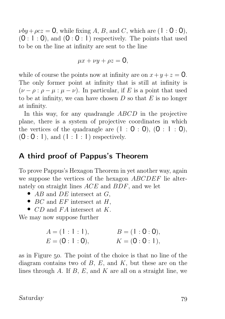$\nu by + \rho cz = 0$ , while fixing A, B, and C, which are  $(1 : 0 : 0)$ ,  $(0:1:0)$ , and  $(0:0:1)$  respectively. The points that used to be on the line at infinity are sent to the line

$$
\mu x + \nu y + \rho z = 0,
$$

while of course the points now at infinity are on  $x+y+z=0$ . The only former point at infinity that is still at infinity is  $(\nu - \rho : \rho - \mu : \mu - \nu)$ . In particular, if E is a point that used to be at infinity, we can have chosen  $D$  so that  $E$  is no longer at infinity.

In this way, for any quadrangle ABCD in the projective plane, there is a system of projective coordinates in which the vertices of the quadrangle are  $(1 : 0 : 0)$ ,  $(0 : 1 : 0)$ ,  $(0:0:1)$ , and  $(1:1:1)$  respectively.

#### A third proof of Pappus's Theorem

To prove Pappus's Hexagon Theorem in yet another way, again we suppose the vertices of the hexagon ABCDEF lie alternately on straight lines ACE and BDF, and we let

- $AB$  and  $DE$  intersect at  $G$ ,
- BC and  $EF$  intersect at  $H$ ,
- $CD$  and  $FA$  intersect at  $K$ .

We may now suppose further

| $A=(1:1:1),$   | $B = (1:0:0),$ |
|----------------|----------------|
| $E = (0:1:0),$ | $K = (0:0:1),$ |

as in Figure 50. The point of the choice is that no line of the diagram contains two of  $B, E$ , and  $K$ , but these are on the lines through A. If  $B$ ,  $E$ , and  $K$  are all on a straight line, we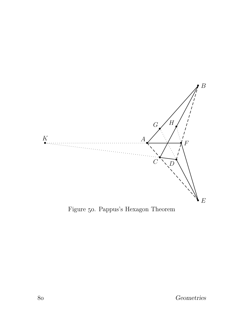

Figure 50. Pappus's Hexagon Theorem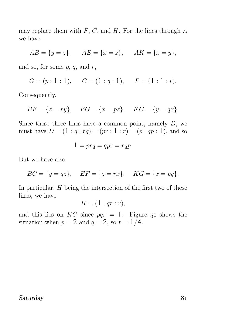may replace them with  $F, C$ , and  $H$ . For the lines through  $A$ we have

$$
AB = \{y = z\}, \quad AE = \{x = z\}, \quad AK = \{x = y\},
$$

and so, for some  $p, q$ , and  $r$ ,

$$
G = (p : 1 : 1),
$$
  $C = (1 : q : 1),$   $F = (1 : 1 : r).$ 

Consequently,

$$
BF = \{z = ry\}, \quad EG = \{x = pz\}, \quad KC = \{y = qx\}.
$$

Since these three lines have a common point, namely  $D$ , we must have  $D = (1 : q : rq) = (pr : 1 : r) = (p : qp : 1)$ , and so

$$
1 = prq = qpr = rqp.
$$

But we have also

$$
BC = \{y = qz\}, \quad EF = \{z = rx\}, \quad KG = \{x = py\}.
$$

In particular,  $H$  being the intersection of the first two of these lines, we have

$$
H=(1:qr:r),
$$

and this lies on KG since  $pqr = 1$ . Figure 50 shows the situation when  $p = 2$  and  $q = 2$ , so  $r = 1/4$ .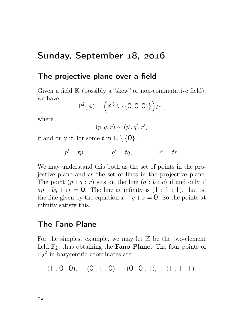# Sunday, September 18, 2016

#### The projective plane over a field

Given a field  $K$  (possibly a "skew" or non-commutative field), we have

$$
\mathbb{P}^2(\mathbb{K})=\Big(\mathbb{K}^3\setminus\big\{(0,0,0)\big\}\Big)/{\sim},
$$

where

$$
(p,q,r)\sim (p',q',r')
$$

if and only if, for some t in  $\mathbb{K} \setminus \{0\},\$ 

$$
p' = tp, \t q' = tq, \t r' = tr.
$$

We may understand this both as the set of points in the projective plane and as the set of lines in the projective plane. The point  $(p : q : r)$  sits on the line  $(a : b : c)$  if and only if  $ap + bq + cr = 0$ . The line at infinity is  $(1 : 1 : 1)$ , that is, the line given by the equation  $x + y + z = 0$ . So the points at infinity satisfy this.

### The Fano Plane

For the simplest example, we may let  $K$  be the two-element field  $\mathbb{F}_2$ , thus obtaining the **Fano Plane.** The four points of  $\mathbb{F}_2^2$  in barycentric coordinates are

 $(1:0:0)$ ,  $(0:1:0)$ ,  $(0:0:1)$ ,  $(1:1:1)$ .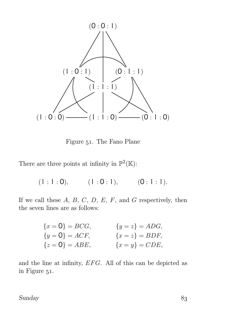

Figure 51. The Fano Plane

There are three points at infinity in  $\mathbb{P}^2(\mathbb{K})$ :

 $(1 : 1 : 0),$   $(1 : 0 : 1),$   $(0 : 1 : 1).$ 

If we call these  $A, B, C, D, E, F$ , and  $G$  respectively, then the seven lines are as follows:

| ${x = 0}$ = BCG,   | ${y = z}$ = ADG, |
|--------------------|------------------|
| $\{y = 0\} = ACF,$ | ${x = z}$ = BDF, |
| $\{z=0\}=ABE,$     | ${x = y}$ = CDE, |

and the line at infinity, EFG. All of this can be depicted as in Figure 51.

Sunday 83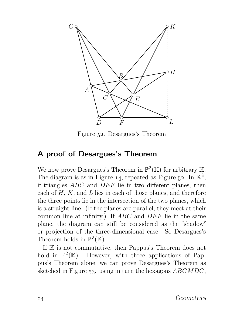

Figure 52. Desargues's Theorem

## A proof of Desargues's Theorem

We now prove Desargues's Theorem in  $\mathbb{P}^2(\mathbb{K})$  for arbitrary  $\mathbb{K}$ . The diagram is as in Figure 14, repeated as Figure 52. In  $\mathbb{K}^3$ , if triangles ABC and DEF lie in two different planes, then each of  $H$ ,  $K$ , and  $L$  lies in each of those planes, and therefore the three points lie in the intersection of the two planes, which is a straight line. (If the planes are parallel, they meet at their common line at infinity.) If ABC and DEF lie in the same plane, the diagram can still be considered as the "shadow" or projection of the three-dimensional case. So Desargues's Theorem holds in  $\mathbb{P}^2(\mathbb{K})$ .

If K is not commutative, then Pappus's Theorem does not hold in  $\mathbb{P}^2(\mathbb{K})$ . However, with three applications of Pappus's Theorem alone, we can prove Desargues's Theorem as sketched in Figure 53. using in turn the hexagons  $ABGMDC$ ,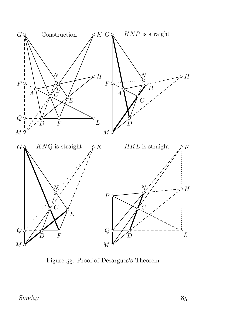

Figure 53. Proof of Desargues's Theorem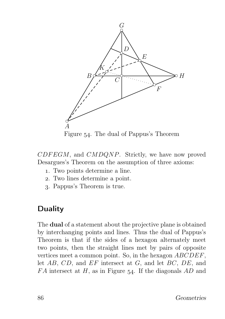

Figure 54. The dual of Pappus's Theorem

 $CDFEGM$ , and  $CMDQNP$ . Strictly, we have now proved Desargues's Theorem on the assumption of three axioms:

- . Two points determine a line.
- . Two lines determine a point.
- . Pappus's Theorem is true.

# **Duality**

The dual of a statement about the projective plane is obtained by interchanging points and lines. Thus the dual of Pappus's Theorem is that if the sides of a hexagon alternately meet two points, then the straight lines met by pairs of opposite vertices meet a common point. So, in the hexagon ABCDEF, let  $AB$ ,  $CD$ , and  $EF$  intersect at  $G$ , and let  $BC$ ,  $DE$ , and  $FA$  intersect at H, as in Figure 54. If the diagonals AD and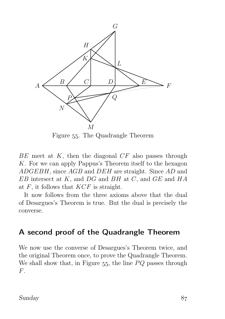

Figure 55. The Quadrangle Theorem

 $BE$  meet at K, then the diagonal  $CF$  also passes through K. For we can apply Pappus's Theorem itself to the hexagon ADGEBH, since AGB and DEH are straight. Since AD and  $EB$  intersect at K, and DG and BH at C, and GE and HA at  $F$ , it follows that  $KCF$  is straight.

It now follows from the three axioms above that the dual of Desargues's Theorem is true. But the dual is precisely the converse.

## A second proof of the Quadrangle Theorem

We now use the converse of Desargues's Theorem twice, and the original Theorem once, to prove the Quadrangle Theorem. We shall show that, in Figure  $55$ , the line  $PQ$  passes through F.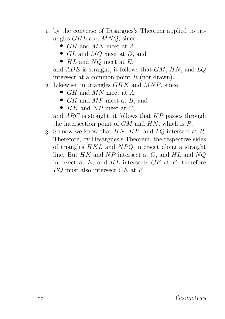- . by the converse of Desargues's Theorem applied to triangles GHL and MNQ, since
	- $GH$  and  $MN$  meet at A,
	- $GL$  and  $MQ$  meet at  $D$ , and
	- $HL$  and  $NQ$  meet at  $E$ ,

and  $ADE$  is straight, it follows that  $GM$ ,  $HN$ , and  $LQ$ intersect at a common point  $R$  (not drawn).

- 2. Likewise, in triangles  $GHK$  and  $MNP$ , since
	- $GH$  and  $MN$  meet at A,
	- $GK$  and  $MP$  meet at B, and
	- $HK$  and  $NP$  meet at  $C$ ,

and  $ABC$  is straight, it follows that  $KP$  passes through the intersection point of  $GM$  and  $HN$ , which is  $R$ .

3. So now we know that  $HN, KP$ , and  $LQ$  intersect at R. Therefore, by Desargues's Theorem, the respective sides of triangles  $HKL$  and  $NPQ$  intersect along a straight line. But  $HK$  and  $NP$  intersect at C, and  $HL$  and  $NQ$ intersect at  $E$ ; and  $KL$  intersects  $CE$  at  $F$ ; therefore  $PQ$  must also intersect  $CE$  at  $F$ .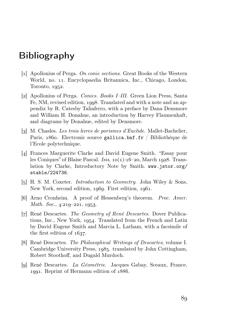# Bibliography

- [] Apollonius of Perga. On conic sections. Great Books of the Western World, no. 11. Encyclopaedia Britannica, Inc., Chicago, London, Toronto,  $1952$ .
- [2] Apollonius of Perga. Conics. Books I–III. Green Lion Press, Santa Fe, NM, revised edition, 1998. Translated and with a note and an appendix by R. Catesby Taliaferro, with a preface by Dana Densmore and William H. Donahue, an introduction by Harvey Flaumenhaft, and diagrams by Donahue, edited by Densmore.
- [3] M. Chasles. Les trois livres de porismes d'Euclide. Mallet-Bachelier, Paris,  $1860$ . Electronic source gallica.bnf.fr / Bibliothèque de l'Ecole polytechnique.
- [4] Frances Marguerite Clarke and David Eugene Smith. "Essay pour les Coniques" of Blaise Pascal. Isis,  $10(1):16-20$ , March 1928. Translation by Clarke, Introductory Note by Smith. www.jstor.org/ stable/224736.
- [5] H. S. M. Coxeter. *Introduction to Geometry*. John Wiley & Sons, New York, second edition, 1969. First edition, 1961.
- [6] Arno Cronheim. A proof of Hessenberg's theorem. Proc. Amer. *Math. Soc.*,  $4:219-221$ ,  $1953$ .
- [7] René Descartes. *The Geometry of René Descartes*. Dover Publications, Inc., New York, 1954. Translated from the French and Latin by David Eugene Smith and Marcia L. Latham, with a facsimile of the first edition of  $1637$ .
- [8] René Descartes. *The Philosophical Writings of Descartes*, volume I. Cambridge University Press, 1985. translated by John Cottingham, Robert Stoothoff, and Dugald Murdoch.
- [] René Descartes. La Géométrie. Jacques Gabay, Sceaux, France, 1991. Reprint of Hermann edition of 1886.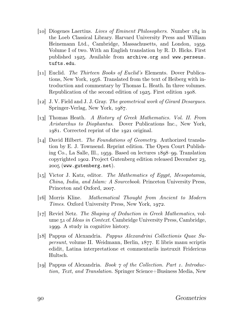- [10] Diogenes Laertius. Lives of Eminent Philosophers. Number 184 in the Loeb Classical Library. Harvard University Press and William Heinemann Ltd., Cambridge, Massachusetts, and London, 1959. Volume I of two. With an English translation by R. D. Hicks. First published 1925. Available from archive.org and www.perseus. tufts.edu.
- [11] Euclid. The Thirteen Books of Euclid's Elements. Dover Publications, New York, 1956. Translated from the text of Heiberg with introduction and commentary by Thomas L. Heath. In three volumes. Republication of the second edition of 1925. First edition 1908.
- [12] J. V. Field and J. J. Gray. The geometrical work of Girard Desargues. Springer-Verlag, New York, 1987.
- [13] Thomas Heath. A History of Greek Mathematics. Vol. II. From Aristarchus to Diophantus. Dover Publications Inc., New York, 1981. Corrected reprint of the 1921 original.
- [14] David Hilbert. *The Foundations of Geometry*. Authorized translation by E. J. Townsend. Reprint edition. The Open Court Publishing Co., La Salle, Ill., 1959. Based on lectures  $1898$ –99. Translation copyrighted 1902. Project Gutenberg edition released December 23, (www.gutenberg.net).
- [] Victor J. Katz, editor. The Mathematics of Egypt, Mesopotamia, China, India, and Islam: A Sourcebook. Princeton University Press, Princeton and Oxford, 2007.
- [16] Morris Kline. Mathematical Thought from Ancient to Modern Times. Oxford University Press, New York, 1972.
- [] Reviel Netz. The Shaping of Deduction in Greek Mathematics, volume 51 of *Ideas in Context*. Cambridge University Press, Cambridge, . A study in cognitive history.
- [] Pappus of Alexandria. Pappus Alexandrini Collectionis Quae Su- $\textit{persont}$ , volume II. Weidmann, Berlin,  $1877$ . E libris manu scriptis edidit, Latina interpretatione et commentariis instruxit Fridericus Hultsch.
- [19] Pappus of Alexandria. *Book*  $\gamma$  *of the Collection. Part 1. Introduc*tion, Text, and Translation. Springer Science+Business Media, New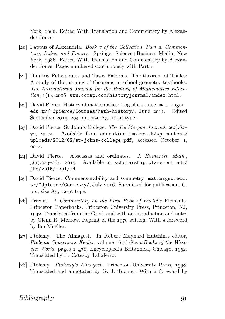York, 1986. Edited With Translation and Commentary by Alexander Jones.

- [20] Pappus of Alexandria. *Book*  $\gamma$  *of the Collection. Part 2. Commen*tary, Index, and Figures. Springer Science+Business Media, New York, 1986. Edited With Translation and Commentary by Alexander Jones. Pages numbered continuously with Part 1.
- [21] Dimitris Patsopoulos and Tasos Patronis. The theorem of Thales: A study of the naming of theorems in school geometry textbooks. The International Journal for the History of Mathematics Educa $tion, 1(1), 2006.$  www.comap.com/historyjournal/index.html.
- [22] David Pierce. History of mathematics: Log of a course.  $m \in \mathbb{Z}$ . edu.tr/~dpierce/Courses/Math-history/, June 2011. Edited September 2013. 204 pp., size  $A_5$ , 10-pt type.
- [23] David Pierce. St John's College. The De Morgan Journal,  $2(2):62 72, 2012.$  Available from education.lms.ac.uk/wp-content/  $uploads/2012/02/st-johns-college.pdf$ , accessed October 1, 2014.
- [24] David Pierce. Abscissas and ordinates. J. Humanist. Math.,  $5(1):223-264$ , 2015. Available at scholarship.claremont.edu/ jhm/vol5/iss1/14.
- [25] David Pierce. Commensurability and symmetry.  $m \in \mathbb{Z}$ . edu.  $tr$ <sup> $\epsilon$ </sup>dpierce/Geometry/, July 2016. Submitted for publication. 61 pp., size  $A_5$ , 12-pt type.
- [26] Proclus. A Commentary on the First Book of Euclid's Elements. Princeton Paperbacks. Princeton University Press, Princeton, NJ, . Translated from the Greek and with an introduction and notes by Glenn R. Morrow. Reprint of the 1970 edition. With a foreword by Ian Mueller.
- [] Ptolemy. The Almagest. In Robert Maynard Hutchins, editor, Ptolemy Copernicus Kepler, volume 16 of Great Books of the West $ern World$ , pages  $1-478$ . Encyclopædia Britannica, Chicago, 1952. Translated by R. Catesby Taliaferro.
- $|28|$  Ptolemy. *Ptolemy's Almagest*. Princeton University Press, 1998. Translated and annotated by G. J. Toomer. With a foreward by

Bibliography 91